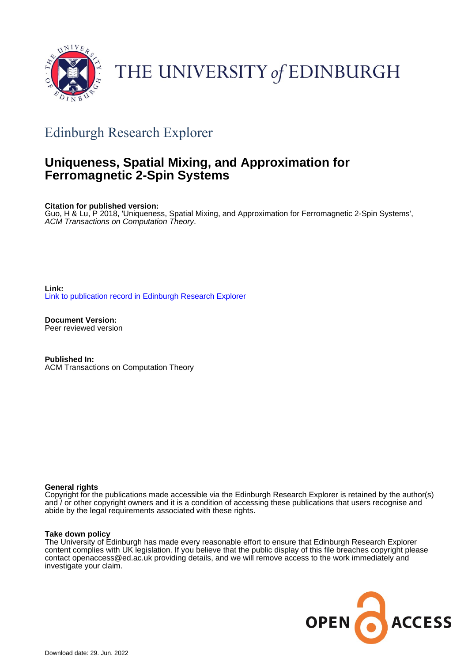

# THE UNIVERSITY of EDINBURGH

# Edinburgh Research Explorer

## **Uniqueness, Spatial Mixing, and Approximation for Ferromagnetic 2-Spin Systems**

**Citation for published version:**

Guo, H & Lu, P 2018, 'Uniqueness, Spatial Mixing, and Approximation for Ferromagnetic 2-Spin Systems', ACM Transactions on Computation Theory.

**Link:** [Link to publication record in Edinburgh Research Explorer](https://www.research.ed.ac.uk/en/publications/24cf7339-92fa-4d0f-abd4-9d57646b0461)

**Document Version:** Peer reviewed version

**Published In:** ACM Transactions on Computation Theory

#### **General rights**

Copyright for the publications made accessible via the Edinburgh Research Explorer is retained by the author(s) and / or other copyright owners and it is a condition of accessing these publications that users recognise and abide by the legal requirements associated with these rights.

#### **Take down policy**

The University of Edinburgh has made every reasonable effort to ensure that Edinburgh Research Explorer content complies with UK legislation. If you believe that the public display of this file breaches copyright please contact openaccess@ed.ac.uk providing details, and we will remove access to the work immediately and investigate your claim.

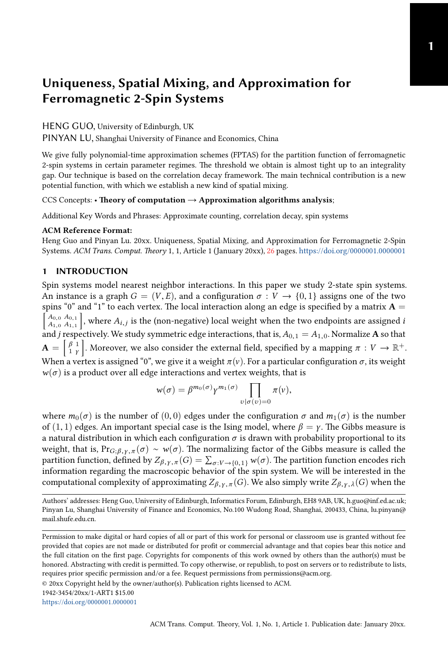**1**

### **Uniqueness, Spatial Mixing, and Approximation for Ferromagnetic 2-Spin Systems**

HENG GUO, University of Edinburgh, UK

PINYAN LU, Shanghai University of Finance and Economics, China

We give fully polynomial-time approximation schemes (FPTAS) for the partition function of ferromagnetic 2-spin systems in certain parameter regimes. The threshold we obtain is almost tight up to an integrality gap. Our technique is based on the correlation decay framework. The main technical contribution is a new potential function, with which we establish a new kind of spatial [mix](#page-26-0)ing.

CCS Concepts: • **Theory of computation** → **Approximation algorithms analysis**;

Additional Key Words and Phrases: Approximate counting, correlation decay, spin systems

#### **ACM Reference Format:**

Heng Guo and Pinyan Lu. 20xx. Uniqueness, Spatial Mixing, and Approximation for Ferromagnetic 2-Spin Systems. *ACM Trans. Comput. Theory* 1, 1, Article 1 (January 20xx), 26 pages. https://doi.org/0000001.0000001

#### **1 INTRODUCTION**

Spin systems model nearest neighbor interactions. In this paper we study 2-state spin systems. An instance is a graph  $G = (V, E)$ , and a configuration  $\sigma : V \to \{0, 1\}$  assigns one of the two spins "0" and "1" to each vertex. The local interaction along an edge is specified by a matrix  $\mathbf{A} =$ *A*0,<sup>0</sup> *A*0,<sup>1</sup> *A*1,<sup>0</sup> *A*1,<sup>1</sup> , where  $A_{i,j}$  is the (non-negative) local weight when the two endpoints are assigned *i* and *j* respectively. We study symmetric edge interactions, that is,  $A_{0,1} = A_{1,0}$ . Normalize **A** so that  $\mathbf{A} = \begin{bmatrix} \beta & 1 \\ 1 & \gamma \end{bmatrix}$ . Moreover, we also consider the external field, specified by a mapping  $\pi : V \to \mathbb{R}^+$ . When a vertex is assigned "0", we give it a weight  $\pi(v)$ . For a particular configuration  $\sigma$ , its weight  $w(\sigma)$  is a product over all edge interactions and vertex weights, that is

$$
w(\sigma) = \beta^{m_0(\sigma)} \gamma^{m_1(\sigma)} \prod_{v | \sigma(v) = 0} \pi(v),
$$

where  $m_0(\sigma)$  is the number of  $(0, 0)$  edges under the configuration  $\sigma$  and  $m_1(\sigma)$  is the number of  $(1, 1)$  edges. An important special case is the Ising model, where  $\beta = \gamma$ . The Gibbs measure is a natural distribution in which each configuration  $\sigma$  is drawn with probability proportional to its weight, that is,  $Pr_{G;\beta,\gamma,\pi}(\sigma) \sim w(\sigma)$ . The normalizing factor of the Gibbs measure is called the partition function, defined by  $Z_{\beta,\gamma,\pi}(G) = \sum_{\sigma: V \to \{0,1\}} w(\sigma)$ . The partition function encodes rich information regarding the macroscopic behavior of the spin system. We will be interested in the computational complexity of approximating  $Z_{\beta,\gamma,\pi}(G)$ . We also simply write  $Z_{\beta,\gamma,\lambda}(G)$  when the

https://doi.org/0000001.0000001

Authors' addresses: Heng Guo, University of Edinburgh, Informatics Forum, Edinburgh, EH8 9AB, UK, h.guo@inf.ed.ac.uk; Pinyan Lu, Shanghai University of Finance and Economics, No.100 Wudong Road, Shanghai, 200433, China, lu.pinyan@ mail.shufe.edu.cn.

[Permission to make digital or ha](https://doi.org/0000001.0000001)rd copies of all or part of this work for personal or classroom use is granted without fee provided that copies are not made or distributed for profit or commercial advantage and that copies bear this notice and the full citation on the first page. Copyrights for components of this work owned by others than the author(s) must be honored. Abstracting with credit is permitted. To copy otherwise, or republish, to post on servers or to redistribute to lists, requires prior specific permission and/or a fee. Request permissions from permissions@acm.org.

<sup>© 20</sup>xx Copyright held by the owner/author(s). Publication rights licensed to ACM.

<sup>1942-3454/20</sup>xx/1-ART1 \$15.00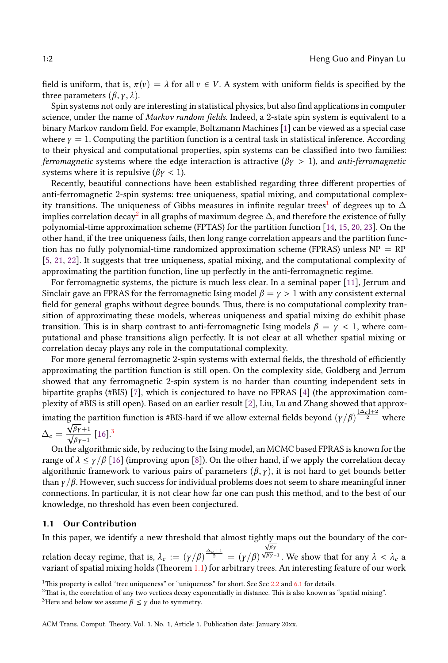field is uniform, that is,  $\pi(v) = \lambda$  for all  $v \in V$ . A system with uniform fields is specified by the three parameters  $(\beta, \gamma, \lambda)$ .

Spin systems not only are interesting in statistical physics, but also find applications in computer science, under the name of *Markov random fields*. Indeed, a 2-state spin system is equivalent to a binary Markov random field. For example, Boltzmann Machines [1] can be viewed as a special case where  $\gamma = 1$ . Computing the partition function [i](#page-2-0)s a central task in statistical inference. According to their physical and co[m](#page-2-1)putational properties, spin systems can be classified into two families: *fe[rrom](#page-25-3)agnetic* systems where the edge interaction is attractive ( $\beta \gamma > 1$ ), a[nd](#page-25-0) *[ant](#page-25-1)[i-fe](#page-25-2)rromagnetic* systems where it is repulsive ( $\beta \gamma < 1$ ).

Recently, beautiful connections have been established regarding three different properties of [an](#page-25-4)t[i-f](#page-25-5)e[rro](#page-25-6)magnetic 2-spin systems: tree uniqueness, spatial mixing, and computational complexity transitions. The uniqueness of Gibbs measures in infinite regular trees<sup>1</sup> of degrees up to  $\Delta$ implies correlation decay $^2$  in all graphs of maximum degree  $\Delta$ , and therefore the [exis](#page-25-7)tence of fully polynomial-time approximation scheme (FPTAS) for the partition function [14, 15, 20, 23]. On the other hand, if the tree uniqueness fails, then long range correlation appears and the partition function has no fully polynomial-time randomized approximation scheme (FPRAS) unless  $NP = RP$ [5, 21, 22]. It suggests that tree uniqueness, spatial mixing, and the computational complexity of approximating the partition function, line up perfectly in the anti-ferromagnetic regime.

For ferromagnetic systems, the picture is much less clear. In a seminal paper [11], Jerrum and Sinclair gave an FPRAS for the ferromagnetic Ising model  $\beta = \gamma > 1$  with any consistent external field for general graphs without degree bounds. Thus, there is no computational complexity transition of approximating these models, whereas uniqueness and spatial mixing do exhibit phase transition. This is in sh[arp](#page-25-8) contrast to anti-ferromagnetic Ising mod[el](#page-25-9)s  $\beta = \gamma < 1$ , where computational and phase transitions align perfectly. It is [no](#page-25-10)t clear at all whether spatial mixing or correlation decay plays any role in the computational complexity.

For more gener[al](#page-2-2) ferromagnetic 2-spin systems with external fields, the threshold of efficiently approximating [th](#page-25-11)e partition function is still open. On the complexity side, Goldberg and Jerrum showed that any ferromagnetic 2-spin system is no harder than counting independent sets in bipartite graphs ([#BIS](#page-25-11)) [7], which is con[je](#page-25-12)ctured to have no FPRAS [4] (the approximation complexity of #BIS is still open). Based on an earlier result [2], Liu, Lu and Zhang showed that approx-

imating the partition function is #BIS-hard if we allow external fields beyond  $(\gamma/\beta)^{\frac{|\Delta_c|+2}{2}}$  where  $\Delta_c = \frac{\sqrt{\beta \gamma + 1}}{\sqrt{\beta \gamma - 1}}$  [16].<sup>3</sup>

On the algorithmic side, by reducing to the Ising model, an MCMC based FPRAS is known for the range of  $\lambda \le \gamma/\beta$  [16] (improving upon [8]). On the other hand, if we apply the correlation decay algorithmic framework to various pairs of parameters  $(\beta, \gamma)$ , it is not hard to get bounds better than  $\gamma/\beta$ . However, such success for individual problems does not seem to share meaningful inner connections. In particular, it is not clear how far one can push this method, and to the best of our knowledge, no threshold has even been [con](#page-3-0)jectured.

#### <span id="page-2-1"></span><span id="page-2-0"></span>**1.1 Our Contribution**

<span id="page-2-2"></span>In this paper, we identify a new threshold that almost tightly maps out the boundary of the cor-

relation decay regime, that is,  $\lambda_c := (\gamma/\beta)^{\frac{\Delta_c + 1}{2}} = (\gamma/\beta)$  $\frac{\sqrt{\beta \gamma}}{\sqrt{\beta \gamma-1}}$ . We show that for any  $\lambda < \lambda_c$  a variant of spatial mixing holds (Theorem 1.1) for arbitrary trees. An interesting feature of our work

<sup>&</sup>lt;sup>1</sup>This property is called "tree uniqueness" or "uniqueness" for short. See Sec  $2.2$  and  $6.1$  for details.

<sup>2</sup>That is, the correlation of any two vertices decay exponentially in distance. This is also known as "spatial mixing". <sup>3</sup>Here and below we assume  $\beta \leq \gamma$  due to symmetry.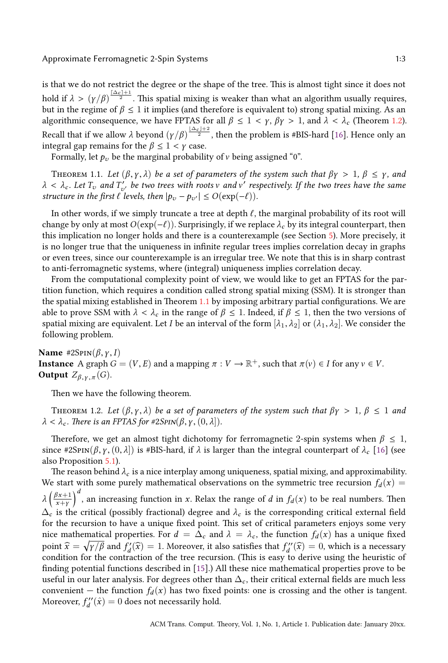#### Approximate Ferromagnetic 2-Spin Systems [1:3](#page-3-1)

<span id="page-3-0"></span>is that we do not restrict the degree or the shape of the tree. This is almost tight since it does not hold if  $\lambda > (\gamma/\beta)^{\frac{\lceil\Delta_c\rfloor+1}{2}}.$  This spatial mixing is weaker than what an algorithm usually requires, but in the regime of  $\beta \leq 1$  it implies (and therefore is equivalent to) strong spatial mixing. As an algorithmic consequence, we have FPTAS for all  $\beta \leq 1 < \gamma$ ,  $\beta \gamma > 1$ , and  $\lambda < \lambda_c$  (Theorem 1.2). Recall that if we allow *λ* beyond  $(\gamma/\beta)^{\frac{|\Delta_c|+2}{2}}$ , then the problem is #BIS-hard [16]. Hence only an integral gap remains for the  $\beta \leq 1 < \gamma$  case.

Formally, let  $p_v$  be the marginal probability of v being assigned "0".

THEOREM 1.1. Let  $(\beta, \gamma, \lambda)$  be a set of parameters of the system such that  $\beta\gamma > 1$ ,  $\beta \leq \gamma$ , and  $\lambda < \lambda_c$ . Let  $T_v$  and  $T'_{v'}$  be two trees with roots v and v' respectively. If the two trees have the same *structure in the first*  $\ell$  *levels, then*  $|p_v - p_{v'}| \le O(\exp(-\ell)).$ 

In other words, if we simply truncate a tree at depth  $\ell$ , the marginal probability of its root will change by only at most  $O(\exp(-\ell))$ . Surprisingly, if we replace  $\lambda_c$  by its integral counterpart, then this implication no longer holds and ther[e is](#page-3-0) a counterexample (see Section 5). More precisely, it is no longer true that the uniqueness in infinite regular trees implies correlation decay in graphs or even trees, since our counterexample is an irregular tree. We note that this is in sharp contrast to anti-ferromagnetic systems, where (integral) uniqueness implies correlation decay.

From the computational complexity point of view, we would like to get an FPTAS for the partition function, which requires a condition called strong spatial mixing (SSM). It is stronger than the spatial mixing established in Theorem 1.1 by imposing arbitrary partial configurations. We are able to prove SSM with  $\lambda < \lambda_c$  in the range of  $\beta \leq 1$ . Indeed, if  $\beta \leq 1$ , then the two versions of spatial mixing are equivalent. Let *I* be an interval of the form  $[\lambda_1, \lambda_2]$  or  $(\lambda_1, \lambda_2]$ . We consider the following problem.

<span id="page-3-1"></span>Name  $\#2$ SpIN $(\beta, \gamma, I)$ **Instance** A graph  $G = (V, E)$  and a mapping  $\pi : V \to \mathbb{R}^+$ , such that  $\pi(v) \in I$  for any  $v \in V$ . **Output**  $Z_{\beta,\gamma,\pi}(G)$ .

Then we have [the](#page-15-1) following theorem.

THEOREM 1.2. Let  $(\beta, \gamma, \lambda)$  be a set of parameters of the system such that  $\beta \gamma > 1$ ,  $\beta \le 1$  and  $\lambda < \lambda_c$ *. There is an FPTAS for #2SpIN*( $\beta$ ,  $\gamma$ ,  $(0, \lambda)$ )*.* 

Therefore, we get an almost tight dichotomy for ferromagnetic 2-spin systems when  $\beta \leq 1$ , since #2SpIN( $\beta$ , *γ*,  $(0, \lambda)$ ) is #BIS-hard, if  $\lambda$  is larger than the integral counterpart of  $\lambda_c$  [16] (see also Proposition 5.1).

The reason behind  $\lambda_c$  is a nice interplay among uniqueness, spatial mixing, and approximability. We start with some purely mathematical observations on the symmetric tree recursion  $f_d(x)$  = *λ* ( *βx*+1 *x*+*γ*  $\int^{d}$ , an increasing function in *x*. [Re](#page-25-1)lax the range of *d* in  $f_d(x)$  to be real numbers. Then  $\Delta_c$  is the critical (possibly fractional) degree and  $\lambda_c$  is the corresponding critical external field for the recursion to have a unique fixed point. This set of critical parameters enjoys some very nice mathematical properties. For  $d = \Delta_c$  and  $\lambda = \lambda_c$ , the function  $f_d(x)$  has a unique fixed point  $\widehat{x} = \sqrt{\gamma/\beta}$  and  $f'_d(\widehat{x}) = 1$ . Moreover, it also satisfies that  $f''_d(\widehat{x}) = 0$ , which is a necessary condition for the contraction of the tree recursion. (This is easy to derive using the heuristic of finding potential functions described in [15].) All these nice mathematical properties prove to be useful in our later analysis. For degrees other than  $\Delta_c$ , their critical external fields are much less convenient – the function  $f_d(x)$  has two fixed points: one is crossing and the other is tangent. Moreover,  $f''_d(\hat{x}) = 0$  does not necessarily hold.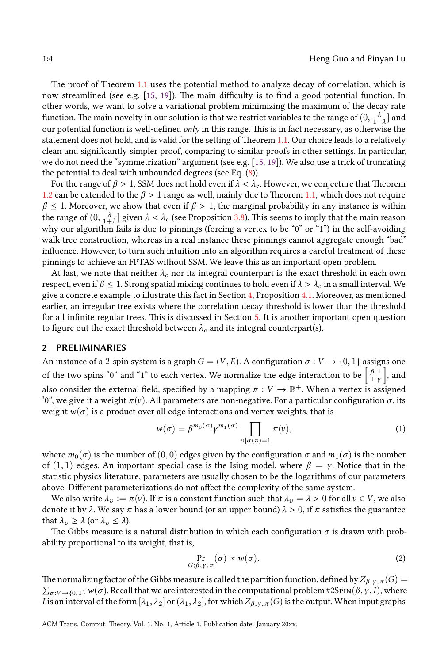The proof of Theorem 1.1 uses the potential method to analyze decay of correlation, which is now streamlined (see e.g. [15, 19]). The main difficulty [is](#page-25-1) [to](#page-25-13) find a good potential function. In other words, we want to solve a variational problem [min](#page-11-0)imizing the maximum of the decay rate function. The main novelty in our solution is that we restrict variables to the range of  $(0,\frac{\lambda}{1+\lambda}]$  and [our](#page-3-1) potential function is well-defined *only* in this range. This is in fact [nec](#page-3-0)essary, as otherwise the statement does not hold, and is valid for the setting of Theorem 1.1. Our choice leads to a relatively clean and significantly simpler proof, comparing t[o sim](#page-13-0)ilar proofs in other settings. In particular, we do not need the "symmetrization" argument (see e.g. [15, 19]). We also use a trick of truncating the potential to deal with unbounded degrees (see Eq. (8)).

For the range of  $\beta > 1$ , SSM does not hold even if  $\lambda < \lambda_c$ . However, we conjecture that Theorem 1.2 can be extended to the  $\beta > 1$  range as well, mainly due to Theorem 1.1, which does not require  $\beta \leq 1$ . Moreover, we show that even if  $\beta > 1$ , the marginal probability in any instance is within the range of  $(0, \frac{\lambda}{1+\lambda}]$  given  $\lambda < \lambda_c$  (see Proposition 3.8). This seems to imply that the main reason why our algorithm fails is due to pinnings (forcing a [ver](#page-13-1)tex to be "0[" or](#page-15-2) "1") in the self-avoiding walk tree construction, whereas in a real instance these pinnings cannot aggregate enough "bad" influence. However, to turn such intuition into an algori[th](#page-15-0)m requires a careful treatment of these pinnings to achieve an FPTAS without SSM. We leave this as an important open problem.

At last, we note that neither  $\lambda_c$  nor its integral counterpart is the exact threshold in each own respect, even if  $\beta \leq 1$ . Strong spatial mixing continues to hold even if  $\lambda > \lambda_c$  in a small interval. We give a concrete example to illustrate this fact in Section 4, Proposition 4.1. Moreover, as mentioned earlier, an irregular tree exists where the correlation decay threshold is lower than the threshold for all infinite regular trees. This is discussed in Section 5. It is another important open question to figure out the exact threshold between  $\lambda_c$  and its integral counterpart(s).

#### **2 PRELIMINARIES**

An instance of a 2-spin system is a graph  $G = (V, E)$ . A configuration  $\sigma : V \to \{0, 1\}$  assigns one of the two spins "0" and "1" to each vertex. We normalize the edge interaction to be  $\begin{bmatrix} \beta & 1 \\ 1 & \gamma \end{bmatrix}$ ] , and also consider the external field, specified by a mapping  $\pi:V\to\mathbb{R}^+$ . When a vertex is assigned "0", we give it a weight  $\pi(v)$ . All parameters are non-negative. For a particular configuration  $\sigma$ , its weight  $w(\sigma)$  is a product over all edge interactions and vertex weights, that is

<span id="page-4-1"></span>
$$
w(\sigma) = \beta^{m_0(\sigma)} \gamma^{m_1(\sigma)} \prod_{v | \sigma(v) = 1} \pi(v), \tag{1}
$$

where  $m_0(\sigma)$  is the number of  $(0, 0)$  edges given by the configuration  $\sigma$  and  $m_1(\sigma)$  is the number of (1, 1) edges. An important special case is the Ising model, where  $\beta = \gamma$ . Notice that in the statistic physics literature, parameters are usually chosen to be the logarithms of our parameters above. Different parameterizations do not affect the complexity of the same system.

We also write  $\lambda_v := \pi(v)$ . If  $\pi$  is a constant function such that  $\lambda_v = \lambda > 0$  for all  $v \in V$ , we also denote it by  $\lambda$ . We say  $\pi$  has a lower bound (or an upper bound)  $\lambda > 0$ , if  $\pi$  satisfies the guarantee that  $\lambda_v \geq \lambda$  (or  $\lambda_v \leq \lambda$ ).

The Gibbs measure is a natural distribution in which each configuration  $\sigma$  is drawn with probability proportional to its weight, that is,

<span id="page-4-0"></span>
$$
\Pr_{G; \beta, \gamma, \pi} (\sigma) \propto w(\sigma). \tag{2}
$$

The normalizing factor of the Gibbs measure is called the partition function, defined by  $Z_{\beta,\gamma,\pi}(G)$  =  $\sum_{\sigma:V\to\{0,1\}} w(\sigma)$ . Recall that we are interested in the computational problem #2SpIN(β, γ, I), where *I* is an interval of the form  $[\lambda_1, \lambda_2]$  or  $(\lambda_1, \lambda_2]$ , for which  $Z_{\beta, \gamma, \pi}(G)$  is the output. When input graphs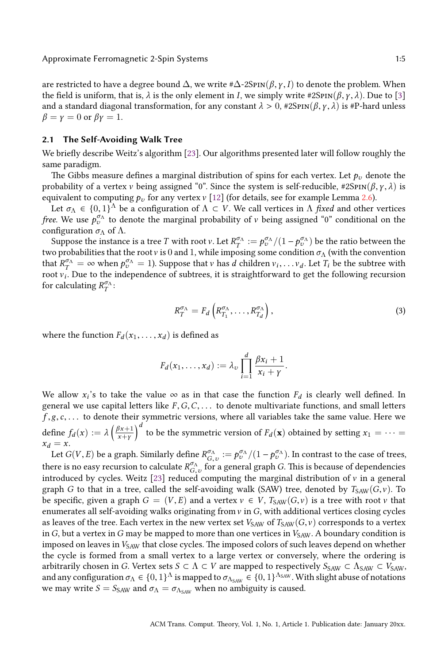are restricted to have a degree bound  $\Delta$ [, w](#page-25-3)e write  $\#\Delta$ -2SpIN( $\beta$ ,  $\gamma$ , *I*) to denote the problem. When the field is uniform, that is,  $λ$  is the only element in *I*, we simply write #2SpIN( $β$ ,  $γ$ ,  $λ$ ). Due to [3] and a standard diagonal transformation, for any constant  $\lambda > 0$ , #2SpIN( $\beta$ ,  $\gamma$ ,  $\lambda$ ) is #P-hard unless  $\beta = \gamma = 0$  or  $\beta \gamma = 1$ .

#### **2.1 The Self-Avoiding Walk Tree**

We briefly describe Weitz's algorithm [23]. Our algorithms presented later will follow roughly the same paradigm.

The Gibbs measure defines a marginal distribution of spins for each vertex. Let  $p<sub>v</sub>$  denote the probability of a vertex v being assigned "0". Since the system is self-reducible, #2SpIN( $\beta$ ,  $\gamma$ ,  $\lambda$ ) is equivalent to computing  $p_v$  for any vertex v [12] (for details, see for example Lemma 2.6).

Let  $\sigma_{\Lambda} \in \{0,1\}^{\Lambda}$  be a configuration of  $\Lambda \subset V$ . We call vertices in  $\Lambda$  *fixed* and other vertices *free.* We use  $p_v^{\sigma_{\Lambda}}$  to denote the marginal probability of v being assigned "0" conditional on the configuration  $\sigma_{\Lambda}$  of  $\Lambda$ .

Suppose the instance is a tree *T* with root *v*. Let  $R_T^{\sigma_{\Lambda}}:=p_v^{\sigma_{\Lambda}}/(1-p_v^{\sigma_{\Lambda}})$  be the ratio between the two probabilities that the root *v* is 0 and 1, while imposing some condition  $\sigma_\Lambda$  (with the convention that  $R_T^{\sigma_A} = \infty$  when  $p_v^{\sigma_A} = 1$ ). Suppose that v has *d* children  $v_i, \ldots v_d$ . Let  $T_i$  be the subtree with root v*<sup>i</sup>* . Due to the independence of subtrees, it is straightforward to get the following recursion for calculating  $R_T^{\sigma_{\Lambda}}$ :

<span id="page-5-0"></span>
$$
R_T^{\sigma_{\Lambda}} = F_d \left( R_{T_1}^{\sigma_{\Lambda}}, \dots, R_{T_d}^{\sigma_{\Lambda}} \right), \tag{3}
$$

where the function  $F_d(x_1, \ldots, x_d)$  is defined as

$$
F_d(x_1,\ldots,x_d):=\lambda_v\prod_{i=1}^d\frac{\beta x_i+1}{x_i+\gamma}.
$$

We allow  $x_i$ 's to take the value  $\infty$  as in that case the function  $F_d$  is clearly well defined. In general we use capital letters like *F* ,*G*,*C*, . . . to denote multivariate functions, and small letters *f* , g,*c*, . . . to denote their sy[mm](#page-25-3)etric versions, where all variables take the same value. Here we define  $f_d(x) := \lambda \left( \frac{\beta x + 1}{x + y} \right)$ *x*+*γ*  $\int^d$  to be the symmetric version of  $F_d(\mathbf{x})$  obtained by setting  $x_1 = \cdots =$  $x_d = x$ .

Let  $G(V, E)$  be a graph. Similarly define  $R_{G, v}^{\sigma_{\Lambda}} := p_v^{\sigma_{\Lambda}}/(1-p_v^{\sigma_{\Lambda}})$ . In contrast to the case of trees, there is no easy recursion to calculate  $R_{G,v}^{\sigma_{\Lambda}}$  for a general graph *G*. This is because of dependencies introduced by cycles. Weitz [23] reduced computing the marginal distribution of  $\nu$  in a general graph *G* to that in a tree, called the self-avoiding walk (SAW) tree, denoted by  $T_{SAW}(G, v)$ . To be specific, given a graph  $G = (V, E)$  and a vertex  $v \in V$ ,  $T_{SAW}(G, v)$  is a tree with root v that enumerates all self-avoiding walks originating from v in *G*, with additional vertices closing cycles as leaves of the tree. Each vertex in the new vertex set  $V_{SAW}$  of  $T_{SAW}(G, v)$  corresponds to a vertex in *G*, but a vertex in *G* may be mapped to more than one vertices in  $V_{SAW}$ . A boundary condition is imposed on leaves in  $V_{SAW}$  that close cycles. The imposed colors of such leaves depend on whether the cycle is formed from a small vertex to a large vertex or conversely, where the ordering is arbitrarily chosen in *G*. Vertex sets  $S \subset \Lambda \subset V$  are mapped to respectively  $S_{SAW} \subset \Lambda_{SAW} \subset V_{SAW}$ , and any configuration  $\sigma_\Lambda \in \{0,1\}^\Lambda$  is mapped to  $\sigma_{\Lambda_{\text{SAW}}} \in \{0,1\}^{\Lambda_{\text{SAW}}}$ . With slight abuse of notations we may write  $S = S_{SAW}$  and  $\sigma_{\Lambda} = \sigma_{\Lambda_{SAW}}$  when no ambiguity is caused.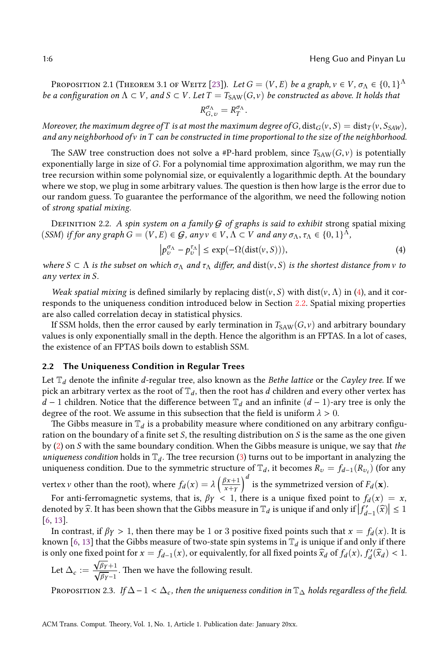Proposition 2.1 (Theorem 3.1 of Weitz [23]). *Let*  $G=(V,E)$  *be a graph,*  $v\in V$ ,  $\sigma_\Lambda\in\{0,1\}^\Lambda$ *be a configuration on*  $\Lambda \subset V$ , and  $S \subset V$ . Let  $T = T_{SAW}(G, v)$  *be constructed as above. It holds that* 

$$
R^{\sigma_\Lambda}_{G,\,\upsilon}=R^{\sigma_\Lambda}_T
$$

<span id="page-6-0"></span>.

*Moreover, the maximum degree ofT is at most the maximum degree ofG,* dist<sub>*G*</sub>( $v$ *, S*) = dist<sub>*T*</sub>( $v$ *, S*<sub>*SAW*</sub>)*, and any neighborhood of* v *inT can be constructed in time proportional to the size of the neighborhood.*

The SAW tree construction does not solve a #P-hard problem, since  $T_{SAW}(G, v)$  is potentially exponentially large in size of *G*. For a polynomial time approximation algorithm, we may run the tree recursion within some polynomial size, or equivalently a logarithmic depth. At the boundary where we stop, we plug in some arbitrary values. The question is then how large is the error due to our random guess. To guarantee the performance of the algorithm, we need the following notion of *strong spatial mixing*.

Definition 2.2. *A spin system on a family* G *of graphs is said to exhibit* strongs[pa](#page-6-0)tial mixing (*SSM*) *if for any graph*  $G = (V, E) \in \mathcal{G}$ , any  $v \in V, \Lambda \subset V$  and any  $\sigma_{\Lambda}, \tau_{\Lambda} \in \{0, 1\}^{\Lambda}$ ,

$$
\left| p_v^{\sigma_\Lambda} - p_v^{\tau_\Lambda} \right| \le \exp(-\Omega(\text{dist}(v, S))), \tag{4}
$$

*where*  $S \subset \Lambda$  *is the subset on which*  $\sigma_\Lambda$  *and*  $\tau_\Lambda$  *differ, and* dist(v, *S*) *is the shortest distance from* v *to any vertex in S.*

<span id="page-6-1"></span>*Weak spatial mixing* is defined similarly by replacing dist( $v, S$ ) with dist( $v, \Lambda$ ) in (4), and it corresponds to the uniqueness condition introduced below in Section 2.2. Spatial mixing properties are also called correlation decay in statistical physics.

If SSM holds, then the error caused by early termination in  $T_{SAW}(G, v)$  and arbitrary boundary values is only exponentially small in the depth. Hence the algorithm is an FPTAS. In a lot of cases, the existence of an FPTAS boils down to establish SSM.

#### **2.2 The Uniqueness Condition in Regular Trees**

Let [T](#page-4-0)*<sup>d</sup>* denote the infinite *d*-regular tree, also known as the *Bethe lattice* or the *Cayley tree*. If we pick an arbitrary vertex as the r[oo](#page-5-0)t of  $\mathbb{T}_d$ , then the root has *d* children and every other vertex has *d* − 1 children. Notice that the difference between  $\mathbb{T}_d$  and an infinite  $(d-1)$ -ary tree is only the degree of the root. We assume in this subsection that the field is uniform  $\lambda > 0$ .

The Gibbs measure in  $\mathbb{T}_d$  is a probability measure where conditioned on any arbitrary configuration on the boundary of a finite set *S*, the resulting distribution on *S* is the same as the one given by (2) on *S* with the same boundary condition. When the Gibbs measure is unique, we say that *the [un](#page-25-14)i[qu](#page-25-15)eness condition* holds in  $\mathbb{T}_d$ . The tree recursion (3) turns out to be important in analyzing the uniquen[es](#page-25-14)[s c](#page-25-15)ondition. Due to the symmetric structure of  $\mathbb{T}_d$ , it becomes  $R_v = f_{d-1}(R_{v_i})$  (for any vertex *v* other than the root), where  $f_d(x) = \lambda \left( \frac{\beta x + 1}{x + v} \right)$ *x*+*γ*  $\int_a^d$  is the symmetrized version of  $F_d(\mathbf{x})$ .

For anti-ferromagnetic systems, that is,  $\beta \gamma$  < 1, there is a unique fixed point to  $f_d(x) = x$ , denoted by  $\widehat{x}$ . It has been shown that the Gibbs measure in  $\mathbb{T}_d$  is unique if and only if  $\left| \widehat{f'_{d-1}(\widehat{x})} \right| \leq 1$ [6, 13].

<span id="page-6-2"></span>In contrast, if  $\beta \gamma > 1$ , then there may be 1 or 3 positive fixed points such that  $x = f_d(x)$ . It is known [6, 13] that the Gibbs measure of two-state spin systems in  $\mathbb{T}_d$  is unique if and only if there is only one fixed point for  $x = f_{d-1}(x)$ , or equivalently, for all fixed points  $\widehat{x}_d$  of  $f_d(x)$ ,  $f'_d(\widehat{x}_d) < 1$ .

Let 
$$
\Delta_c := \frac{\sqrt{\beta_Y}+1}{\sqrt{\beta_Y}-1}
$$
. Then we have the following result.

PROPOSITION 2.3. *If*  $\Delta - 1 < \Delta_c$ , then the uniqueness condition in  $\mathbb{T}_{\Delta}$  holds regardless of the field.

<span id="page-6-3"></span>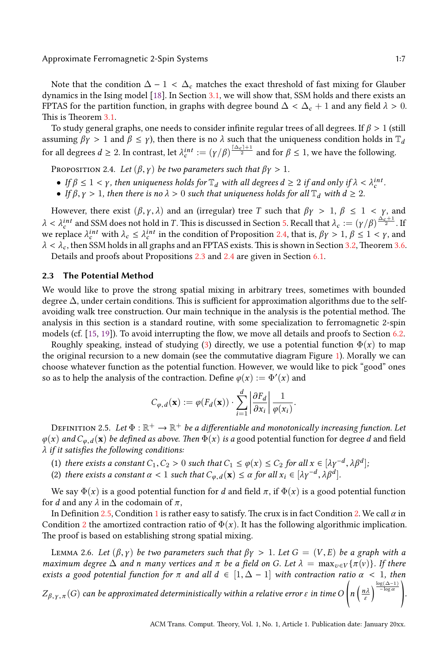Approximate Fe[rrom](#page-8-0)agnetic 2-Spin Systems 1:7

<span id="page-7-0"></span>Note that the condition  $\Delta - 1 < \Delta_c$  matches the exact threshold of fast mixing for Glauber dynamics in the Ising model [18]. In Section 3.1, we will show that, SSM holds and there exists an FPTAS for the partition function, in graphs with degree bound  $\Delta < \Delta_c + 1$  and any field  $\lambda > 0$ . This is Theorem 3.1.

To study general graphs, one needs to consider infinite regular trees of all degrees. If *β* > 1 (still assuming  $\beta \gamma > 1$  and  $\beta \leq \gamma$ ), then there is no  $\lambda$  such that the uniqueness condition holds in  $\mathbb{T}_d$ fo[r](#page-15-0) all degrees  $d \geq 2$ . In contrast, let  $\lambda_c^{int} := (\gamma/\beta)^{\frac{\lceil \Delta_c \rceil + 1}{2}}$  and for  $\beta \leq 1$ , we have the following.

PROPOSITION 2.4. *Let*  $(\beta, \gamma)$  *be two parameters such that*  $\beta\gamma > 1$  $\beta\gamma > 1$  $\beta\gamma > 1$ *.* 

- If  $\beta \leq 1 < \gamma$ , then uniqueness holds for  $\mathbb{T}_d$  with all degrees  $d \geq 2$  if [and](#page-16-0) only [if](#page-9-0)  $\lambda < \lambda_c^{int}$ .
- *If*  $\beta, \gamma > 1$ , then there is no  $\lambda > 0$  s[uch](#page-6-2) that [uni](#page-7-0)queness holds for all  $\mathbb{T}_d$  with  $d \geq 2$ .

<span id="page-7-5"></span>However, there exist  $(\beta, \gamma, \lambda)$  and an (irregular) tree *T* such that  $\beta \gamma > 1$ ,  $\beta \le 1 < \gamma$ , and  $\lambda < \lambda_c^{int}$  and SSM does not hold in *T*. This is discussed in Section 5. Recall that  $\lambda_c := (\gamma/\beta)^{\frac{\Delta_c+1}{2}}$ . If we replace  $λ_c^{int}$  with  $λ_c ≤ λ_c^{int}$  in the condition of Proposition 2.4, that is,  $βγ > 1, β ≤ 1 < γ$ , and *λ* < *λ<sup>c</sup>* , then SSM holds in all graphs and an FPTAS exists. This is shown in Section 3.2, Theorem 3.6.

Details and proofs about Propositions 2.3 and 2.4 are given in Section 6.1.

#### **2.3 The P[ote](#page-25-1)[nti](#page-25-13)al Method**

We would like to prove the strong spatial mixing in arbitrary trees, someti[m](#page-20-0)es with bounded degree ∆, under certain conditions. This is sufficient for approximation algorithms due to the selfavoiding walk tree construction. Our main technique in the analysis is the potential method. The analysis in this section is a standard routine, with some specialization to ferromagnetic 2-spin models (cf. [15, 19]). To avoid interrupting the flow, we move all details and proofs to Section 6.2.

<span id="page-7-1"></span>Roughly speaking, instead of studying (3) directly, we use a potential function  $\Phi(x)$  to map the original recursion to a new domain (see the commutative diagram Figure 1). Morally we can choose whatever function as the potential function. However, we would like to pick "good" ones so as to help the analysis of the contraction. Define  $\varphi(x) := \Phi'(x)$  and

$$
C_{\varphi,d}(\mathbf{x}) := \varphi(F_d(\mathbf{x})) \cdot \sum_{i=1}^d \left| \frac{\partial F_d}{\partial x_i} \right| \frac{1}{\varphi(x_i)}.
$$

<span id="page-7-3"></span><span id="page-7-2"></span>DEFINITION 2.5. Let  $\Phi:\mathbb{R}^+\to\mathbb{R}^+$  be a differentiable and monotonically increasing function. Let  $\varphi(x)$  *and*  $C_{\varphi, d}(x)$  *be defined as above. Then*  $\Phi(x)$  *is a* good potential function for deg[re](#page-7-3)e *d* and field *λ if it satisfies t[he f](#page-7-1)ollowing co[nd](#page-7-2)itions:*

- (1) *ther[e e](#page-7-3)xists a constant*  $C_1$ ,  $C_2 > 0$  *such that*  $C_1 \leq \varphi(x) \leq C_2$  for all  $x \in [\lambda \gamma^{-d}, \lambda \beta^d]$ ;
- (2) *there exists a constant*  $\alpha < 1$  *such that*  $C_{\varphi,d}(\mathbf{x}) \leq \alpha$  for all  $x_i \in [\lambda \gamma^{-d}, \lambda \beta^d]$ .

<span id="page-7-4"></span>We say  $\Phi(x)$  is a good potential function for *d* and field  $\pi$ , if  $\Phi(x)$  is a good potential function for *d* and any  $\lambda$  in the codomain of  $\pi$ ,

In Definition 2.5, Condition 1 is rather easy to satisfy. The crux is in fact Condition 2. We call *α* in Condition 2 the amortized contraction ratio of  $\Phi(x)$ . It has the following algorithmic implication. The proof is based on establishing strong spatial mixing.

LEMMA 2.6. Let  $(\beta, \gamma)$  be two parameters such that  $\beta \gamma > 1$ . Let  $G = (V, E)$  be a graph with a *maximum degree*  $\Delta$  *and n many vertices and*  $\pi$  *be a field on G. Let*  $\lambda = \max_{v \in V} {\{\pi(v)\}}$ *. If there exists a good potential function for*  $\pi$  *and all*  $d \in [1, \Delta - 1]$  *with contraction ratio*  $\alpha < 1$ *, then*  $\overline{1}$ 

*Z<sup>β</sup>* ,*<sup>γ</sup>* ,*<sup>π</sup>* (*G*) *can be approximated deterministically within a relative error ε in time O n* ( *nλ ε*  $\sqrt{\frac{\log(\Delta-1)}{-\log \alpha}}$ 

*.*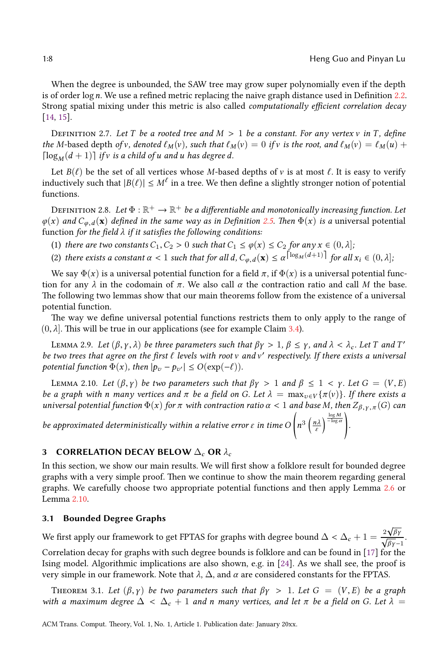*.*

√

When the degree is unbounded, the SAW tree may grow super polynomially even if the depth is of order log*n*. We use a refined metric replacing the naive graph distance used in Definition 2.2. Strong spatial mixing under this metric is also called *computationally efficient correlation decay* [14, 15].

<span id="page-8-3"></span>Definition 2.7. *Let T be a rooted tree and M* > 1 *be a constant. For any vertex* v *in T , define the M*-based depth *of* v, denoted  $\ell_M(v)$ , such that  $\ell_M(v) = 0$  [if](#page-7-1) v is the root, and  $\ell_M(v) = \ell_M(u) +$  $\lceil \log_M(d+1) \rceil$  *if v is a child of <i>u* and *u* has degree *d*.

<span id="page-8-5"></span><span id="page-8-4"></span>Let  $B(\ell)$  be the set of all vertices whose *M*-based depths of v is at most  $\ell$ . It is easy to verify inductively such that  $|B(\ell)| \leq M^{\ell}$  in a tree. We then define a slightly stronger notion of potential functions.

DEFINITION 2.8. Let  $\Phi:\mathbb{R}^+\to\mathbb{R}^+$  be a differentiable and monotonically increasing function. Let  $\varphi(x)$  *and*  $C_{\varphi, d}(x)$  *defined in the same way as in Definition* 2.5. Then  $\Phi(x)$  *is a* universal potential function *for the field λ if it satisfies the following conditions:*

- (1) *there are two constants*  $C_1$ ,  $C_2 > 0$  *such that*  $C_1 \leq \varphi(x) \leq C_2$  *for any*  $x \in (0, \lambda]$ *;*
- (2) there exists a constant  $\alpha < 1$  such that for all  $d$ ,  $C_{\varphi,d}(\mathbf{x}) \leq \alpha^{\left\lceil \log_M(d+1) \right\rceil}$  $C_{\varphi,d}(\mathbf{x}) \leq \alpha^{\left\lceil \log_M(d+1) \right\rceil}$  $C_{\varphi,d}(\mathbf{x}) \leq \alpha^{\left\lceil \log_M(d+1) \right\rceil}$  for all  $x_i \in (0, \lambda]$ ;

<span id="page-8-2"></span>We say  $\Phi(x)$  is a universal potential function for a field  $\pi$ , if  $\Phi(x)$  is a universal potential function for any  $\lambda$  in the codomain of  $\pi$ . We also call  $\alpha$  the contraction ratio and call M the base. The following two lemmas show that our main theorems follow from the existence of a universal potential function.

<span id="page-8-1"></span>The way we define universal potential functions restricts them to only apply to the range of  $(0, \lambda]$ . This will be true in our applications (see for example Claim 3.4).

**LEMMA** 2.9. Let  $(β, γ, λ)$  be three parameters such that  $βγ > 1, β ≤ γ$ , and  $λ < λ_c$ . Let T and T' *be two trees that agree on the first* ℓ *levels with root* v *and* v ′ *respectively. If there exists a universal potential function*  $\Phi(x)$ *, then*  $|p_v - p_{v'}| \leq O(\exp(-\ell)).$ 

LEMMA 2.10. Let  $(\beta, \gamma)$  be two parameters such that  $\beta\gamma > 1$  and  $\beta \leq 1 < \gamma$ . Let  $G = (V, E)$ *be a graph with n many vertices and*  $\pi$  *be a field on G. Let*  $\lambda = \max_{v \in V} {\{\pi(v)\}}$ *. If there exists a universal potential function* Φ(*x*) *for π with contraction ratio α* < 1 *and base M, then Z<sup>β</sup>* ,*<sup>γ</sup>* ,*<sup>π</sup>* (*G*) *can*

*be appr[oxim](#page-8-1)ated deterministically within a relative error ε in time O*  $\overline{a}$ *n* 3 ( *nλ ε*  $\frac{\log M}{-\log \alpha}$ 

#### **3 CORRELATION DECAY BELOW** ∆*<sup>c</sup>* **OR** *λ<sup>c</sup>*

In this section, we show our main results. We will first show a folklore result for bounded degree graphs with a very simple proof. Then we continue to show the main theorem regarding general graphs. We carefully choose two appropriate potential functio[ns](#page-25-17) and then apply Le[mm](#page-25-16)a 2.6 or Lemma 2.10.

#### <span id="page-8-0"></span>**3.1 Bounded Degree Graphs**

We first apply our framework to get FPTAS for graphs with degree bound  $\Delta < \Delta_c + 1 = \frac{2\sqrt{\beta_Y}}{\sqrt{\beta_Y}-1}$ . Correlation decay for graphs with such degree bounds is folklore and can be found in [17] for the Ising model. Algorithmic implications are also shown, e.g. in [24]. As we shall see, the proof is very simple in our framework. Note that *λ*, ∆, and *α* are considered constants for the FPTAS.

THEOREM 3.1. Let  $(\beta, \gamma)$  be two parameters such that  $\beta \gamma > 1$ . Let  $G = (V, E)$  be a graph *with a maximum degree*  $\Delta < \Delta_c + 1$  *and n many vertices, and let*  $\pi$  *be a field on G. Let*  $\lambda =$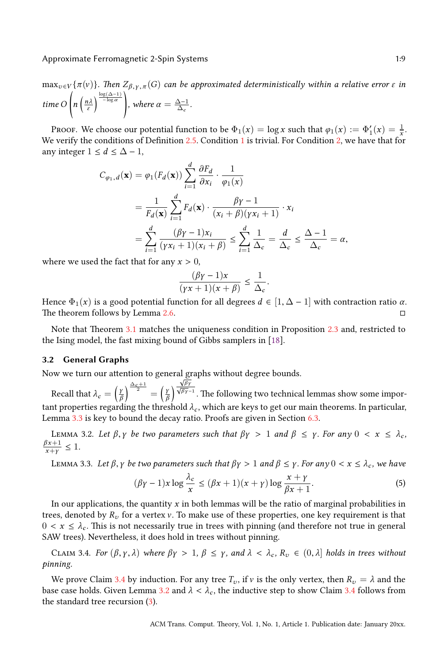$max_{v \in V}$ { $\pi(v)$ }. Then  $Z_{\beta,\gamma,\pi}(G)$  *can be approximated deterministically within a relative error ε in time O*  $\overline{1}$ *n* ( *nλ ε*  $\left\{\frac{\log(\Delta-1)}{-\log \alpha}\right\}$ *, where*  $\alpha = \frac{\Delta - 1}{\Delta_c}$ .

Proof. We choose our potential function to be  $\Phi_1(x) = \log x$  such that  $\varphi_1(x) := \Phi'_1(x) = \frac{1}{x}$ . We verify the conditions of Definition 2.5. Condition 1 is trivial. For Condition 2, we have that for any integer  $1 \le d \le \Delta - 1$ ,

$$
C_{\varphi_1, d}(\mathbf{x}) = \varphi_1(F_d(\mathbf{x})) \sum_{i=1}^d \frac{\partial F_d}{\partial x_i} \cdot \frac{1}{\varphi_1(\mathbf{x})}
$$
  
= 
$$
\frac{1}{F_d(\mathbf{x})} \sum_{i=1}^d F_d(\mathbf{x}) \cdot \frac{\beta \gamma - 1}{(x_i + \beta)(\gamma x_i + 1)} \cdot x_i
$$
  
= 
$$
\sum_{i=1}^d \frac{(\beta \gamma - 1)x_i}{(\gamma x_i + 1)(x_i + \beta)} \le \sum_{i=1}^d \frac{1}{\Delta_c} = \frac{d}{\Delta_c} \le \frac{\Delta - 1}{\Delta_c} = \alpha,
$$

where we used the fac[t th](#page-8-0)at for any  $x > 0$ ,

<span id="page-9-4"></span>
$$
\frac{(\beta\gamma-1)x}{(\gamma x+1)(x+\beta)} \le \frac{1}{\Delta_c}.
$$

<span id="page-9-0"></span>Hence  $\Phi_1(x)$  is a good potential function for all degrees  $d \in [1, \Delta - 1]$  with contraction ratio  $\alpha$ . The theorem follows by Lemma 2.6.

Note that Theorem 3.1 matches the uniqueness condition in Proposition 2.3 and, restricted to the Ising model, the fast mixing bound of Gibbs samplers in [18].

#### <span id="page-9-3"></span>**3.2 G[ene](#page-9-2)ral Graphs**

Now we turn our attention to general graphs without degree bounds.

<span id="page-9-2"></span>Recall that  $\lambda_c = \left(\frac{y}{b}\right)$ *β*  $\int^{\frac{\Delta_c+1}{2}} = \left(\frac{\gamma}{6}\right)$ *β*  $\overline{ }$ *<u>√<sub>βγ</sub>*<br>√<sup>βγ</sup></u><br><sup>√βγ–1</sup>. The following two technical lemmas show some important properties regarding the threshold  $\lambda_c$ , which are keys to get our main theorems. In particular, Lemma 3.3 is key to bound the decay ratio. Proofs are given in Section 6.3.

LEMMA 3.2. *Let β*, *γ be two parameters such that*  $βγ > 1$  *and*  $β ≤ γ$ *. For any* 0 < *x* ≤  $λ<sub>c</sub>$ ,  $βx+1$  < 1  $\frac{p x + 1}{x + γ}$  ≤ 1*.* 

<span id="page-9-1"></span>*LEMMA* 3.3. *Let β*, *γ be two parameters such that*  $βγ > 1$  *and*  $β ≤ γ$ . *For any*  $0 < x ≤ λ<sub>c</sub>$ , we have

$$
(\beta \gamma - 1)x \log \frac{\lambda_c}{x} \le (\beta x + 1)(x + \gamma) \log \frac{x + \gamma}{\beta x + 1}.
$$
 (5)

In our applications, the quantity *x* in both lemmas will be the ratio of marginal probabilities in trees, denoted by  $R_v$  [fo](#page-9-1)r a vertex  $v$ . To make use of these properties, one key requirement is that  $0 < x \leq \lambda_c$ . This is not necess[aril](#page-9-3)y true in trees with pinning (and therefore no[t tr](#page-9-1)ue in general SAW trees). Nevertheless, it [do](#page-5-0)es hold in trees without pinning.

CLAIM 3.4. *For*  $(\beta, \gamma, \lambda)$  *where*  $\beta \gamma > 1$ ,  $\beta \leq \gamma$ , and  $\lambda < \lambda_c$ ,  $R_v \in (0, \lambda]$  holds in trees without *pinning.*

We prove Claim 3.4 by induction. For any tree  $T_v$ , if v is the only vertex, then  $R_v = \lambda$  and the base case holds. Given Lemma 3.2 and  $\lambda < \lambda_c$ , the inductive step to show Claim 3.4 follows from the standard tree recursion (3).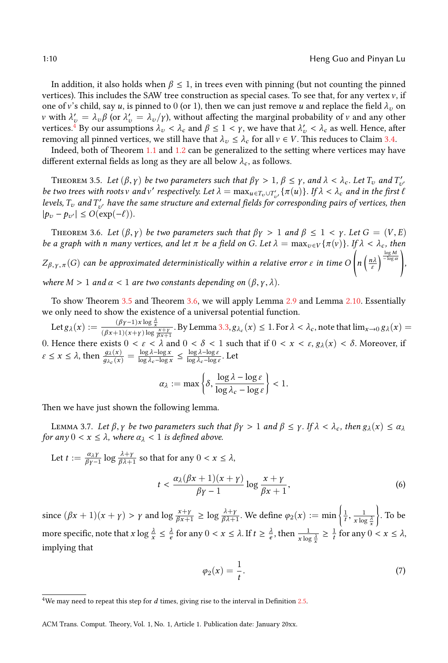<span id="page-10-0"></span>In addition, it also holds [wh](#page-3-0)en  $\beta \leq 1$ , in trees even with pinning (but not counting the pinned vertices). This includes the SAW tree construction as special cases. To see that, for any vertex  $v$ , if one of v's child, say *u*, is pinned to 0 (or 1), then we can just remove *u* and replace the field  $\lambda_v$  on *v* with  $\lambda'_v = \lambda_v \beta$  (or  $\lambda'_v = \lambda_v/\gamma$ ), without affecting the marginal probability of *v* and any other vertices.<sup>4</sup> By our assumptions  $\lambda_v < \lambda_c$  and  $\beta \le 1 < \gamma$ , we have that  $\lambda_v' < \lambda_c$  as well. Hence, after removing all pinned vertices, we still have that  $\lambda_v \leq \lambda_c$  for all  $v \in V$ . This reduces to Claim 3.4.

<span id="page-10-1"></span>Indeed, both of Theorem 1.1 and 1.2 can be generalized to the setting where vertices may have different external fields as long as they are all below  $\lambda_c$ , as follows.

THEOREM 3.5. Let  $(\beta, \gamma)$  be two parameters such that  $\beta\gamma > 1$ ,  $\beta \leq \gamma$ , and  $\lambda < \lambda_c$ . Let  $T_v$  and  $T'_{v'}$ *be two trees with roots v* and *v'* respectively. Let  $\lambda = \max_{u \in T_v \cup T'_{v'}} \{ \pi(u) \}$ . If  $\lambda < \lambda_c$  and in the first  $\ell$ *levels, T<sup>v</sup> and T* ′ *<sup>v</sup>*′ *have the same structure and external fields for corresponding pairs of vertices, then*  $|p_v - p_{v'}|$  ≤  $O(\exp(-\ell)).$ 

THEOREM 3.6[. Let](#page-8-1)  $(\beta, \gamma)$  be two par[ame](#page-10-1)ters such that  $\beta\gamma > 1$  [and](#page-8-2)  $\beta \leq 1 < \gamma$ . Let  $G = (V, E)$ *be a graph with n many vertices, and let*  $\pi$  *be a field on G. Let*  $\lambda = \max_{v \in V} {\{\pi(v)\}}$ *. If*  $\lambda < \lambda_c$ *, then Z<sup>β</sup>* ,*<sup>γ</sup>* ,*<sup>π</sup>* (*G*) *can be approximated deterministical[ly w](#page-9-2)ithin a relative error ε in time O* ,<br>/ *n* ( *nλ ε*  $\sqrt{\frac{\log M}{-\log \alpha}}$ *, where*  $M > 1$  *and*  $\alpha < 1$  *are two constants depending on*  $(\beta, \gamma, \lambda)$ *.* 

To show Theorem 3.5 and Theorem 3.6, we will apply Lemma 2.9 and Lemma 2.10. Essentially we only need to show the existence of a universal potential function.

Let  $g_{\lambda}(x) := \frac{(\beta \gamma - 1)x \log \frac{\lambda}{x}}{(\beta x + 1)(x + \gamma) \log \frac{x + \gamma}{\beta x + 1}}$ . By Lemma 3.3,  $g_{\lambda_c}(x) \le 1$ . For  $\lambda < \lambda_c$ , note that  $\lim_{x \to 0} g_{\lambda}(x) =$ 0. Hence there exists  $0 < \varepsilon < \lambda$  and  $0 < \delta < 1$  such that if  $0 < x < \varepsilon, g_\lambda(x) < \delta$ . Moreover, if  $\varepsilon \leq x \leq \lambda$ , then  $\frac{g_{\lambda}(x)}{g_{\lambda_c}(x)} = \frac{\log \lambda - \log x}{\log \lambda_c - \log x}$ log *λc*−log *x* ≤ log *λ*−log *ε*  $\frac{\log \lambda - \log \varepsilon}{\log \lambda_c - \log \varepsilon}$ . Let

<span id="page-10-2"></span>
$$
\alpha_\lambda := \max\left\{\delta, \frac{\log\lambda - \log \varepsilon}{\log\lambda_c - \log\varepsilon}\right\} < 1.
$$

Then we have just shown the following lemma.

*LEMMA 3.7. Let*  $\beta$ ,  $\gamma$  be two parameters such that  $\beta\gamma > 1$  and  $\beta \leq \gamma$ . If  $\lambda < \lambda_c$ , then  $g_{\lambda}(x) \leq \alpha_{\lambda}$ *for any*  $0 < x \leq \lambda$ *, where*  $\alpha_{\lambda} < 1$  *is defined above.* 

Let 
$$
t := \frac{\alpha_{\lambda} y}{\beta \gamma - 1} \log \frac{\lambda + y}{\beta \lambda + 1}
$$
 so that for any  $0 < x \le \lambda$ ,  

$$
t < \frac{\alpha_{\lambda} (\beta x + 1)(x + y)}{\beta \gamma - 1} \log \frac{x + y}{\beta x + 1},
$$
(6)

since  $(\beta x + 1)(x + \gamma) > \gamma$  and  $\log \frac{x + \gamma}{\beta x + 1} \ge \log \frac{\lambda + \gamma}{\beta \lambda + 1}$ . We define  $\varphi_2(x) := \min \left\{ \frac{1}{t}, \frac{1}{x \log \frac{\lambda}{x}} \right\}$  $\overline{ }$ . To be more specific, note that  $x \log \frac{\lambda}{x} \leq \frac{\lambda}{e}$  $x \log \frac{\lambda}{x} \leq \frac{\lambda}{e}$  for any  $0 < x \leq \lambda$ . If  $t \geq \frac{\lambda}{e}$ , then  $\frac{1}{x \log \frac{\lambda}{x}} \geq \frac{1}{t}$  for any  $0 < x \leq \lambda$ , implying that

<span id="page-10-3"></span>
$$
\varphi_2(x) = \frac{1}{t}.\tag{7}
$$

<sup>&</sup>lt;sup>4</sup>We may need to repeat this step for *d* times, giving rise to the interval in Definition 2.5.

ACM Trans. Comput. Theory, Vol. 1, No. 1, Article 1. Publication date: January 20xx.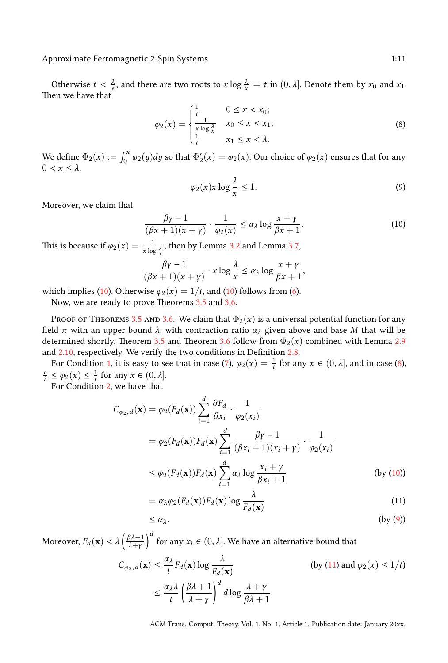Approximate Ferromagnetic 2-Spin Systems 1:11 and 2008 1:11

Otherwise  $t < \frac{\lambda}{e}$ , and there are two roots to  $x \log \frac{\lambda}{x} = t$  in  $(0, \lambda]$ . Denote them by  $x_0$  and  $x_1$ . Then we have that

<span id="page-11-0"></span>
$$
\varphi_2(x) = \begin{cases} \frac{1}{t} & 0 \le x < x_0; \\ \frac{1}{x \log \frac{\lambda}{x}} & x_0 \le x < x_1; \\ \frac{1}{t} & x_1 \le x < \lambda. \end{cases} \tag{8}
$$

We define  $\Phi_2(x) := \int_0^x \varphi_2(y) dy$  so that  $\Phi'_2(x) = \varphi_2(x)$ . Our choice of  $\varphi_2(x)$  ensures that for any  $0 < x ≤ λ$ ,

$$
\varphi_2(x)x \log \frac{\lambda}{x} \le 1. \tag{9}
$$

<span id="page-11-1"></span>,

Moreover, we claim that

$$
\frac{\beta\gamma - 1}{(\beta x + 1)(x + \gamma)} \cdot \frac{1}{\varphi_2(x)} \le \alpha_\lambda \log \frac{x + \gamma}{\beta x + 1}.
$$
 (10)

This is because if  $\varphi_2(x) = \frac{1}{x \log \frac{\lambda}{x}}$  $\varphi_2(x) = \frac{1}{x \log \frac{\lambda}{x}}$  $\varphi_2(x) = \frac{1}{x \log \frac{\lambda}{x}}$ [, th](#page-10-1)en by Lemma 3.2 and Lemma 3.7,

$$
\frac{\beta\gamma-1}{(\beta x+1)(x+\gamma)} \cdot x \log \frac{\lambda}{x} \le \alpha_{\lambda} \log \frac{x+\gamma}{\beta x+1}
$$

whi[ch im](#page-8-1)plies (10). Otherwise  $\varphi_2(x) = 1/t$ , and (10) follows from [\(6\)](#page-8-3).

Now, we are r[ea](#page-8-4)dy to prove Theorems 3.5 and [3](#page-10-3).6.

PROOF OF THEOREMS 3.5 AND 3.6. We claim that  $\Phi_2(x)$  is a universal potential function f[or](#page-8-5) any field  $\pi$  with an upper bound  $\lambda$ , with contraction ratio  $\alpha_{\lambda}$  given above and base *M* that will be determined shortly. Theorem 3.5 and Theorem 3.6 follow from  $\Phi_2(x)$  combined with Lemma 2.9 and 2.10, respectively. We verify the two conditions in Definition 2.8.

For Condition 1, it is easy to see that in case (7),  $\varphi_2(x) = \frac{1}{t}$  for any  $x \in (0, \lambda]$ , and in case (8),  $\frac{e}{\lambda} \le \varphi_2(x) \le \frac{1}{t}$  for any  $x \in (0, \lambda]$ .

For Condition 2, we have that

$$
C_{\varphi_2, d}(\mathbf{x}) = \varphi_2(F_d(\mathbf{x})) \sum_{i=1}^d \frac{\partial F_d}{\partial x_i} \cdot \frac{1}{\varphi_2(x_i)}
$$
  
=  $\varphi_2(F_d(\mathbf{x})) F_d(\mathbf{x}) \sum_{i=1}^d \frac{\beta \gamma - 1}{(\beta x_i + 1)(x_i + \gamma)} \cdot \frac{1}{\varphi_2(x_i)}$   
 $\leq \varphi_2(F_d(\mathbf{x})) F_d(\mathbf{x}) \sum_{i=1}^d \alpha_\lambda \log \frac{x_i + \gamma}{\beta x_i + 1}$  (by (10))

$$
= \alpha_{\lambda} \varphi_2(F_d(\mathbf{x})) F_d(\mathbf{x}) \log \frac{\lambda}{F_d(\mathbf{x})}
$$
\n(11)

$$
\leq \alpha_{\lambda}.\tag{by (9)}
$$

Moreover,  $F_d(\mathbf{x}) < \lambda \left( \frac{\beta \lambda + 1}{\lambda + \nu} \right)$ *λ*+*γ*  $\int^d$  for any  $x_i \in (0, \lambda]$ . We have an alternative bound that

$$
C_{\varphi_2, d}(\mathbf{x}) \le \frac{\alpha_{\lambda}}{t} F_d(\mathbf{x}) \log \frac{\lambda}{F_d(\mathbf{x})}
$$
 (by (11) and  $\varphi_2(x) \le 1/t$ )  

$$
\le \frac{\alpha_{\lambda} \lambda}{t} \left(\frac{\beta \lambda + 1}{\lambda + \gamma}\right)^d d \log \frac{\lambda + \gamma}{\beta \lambda + 1}.
$$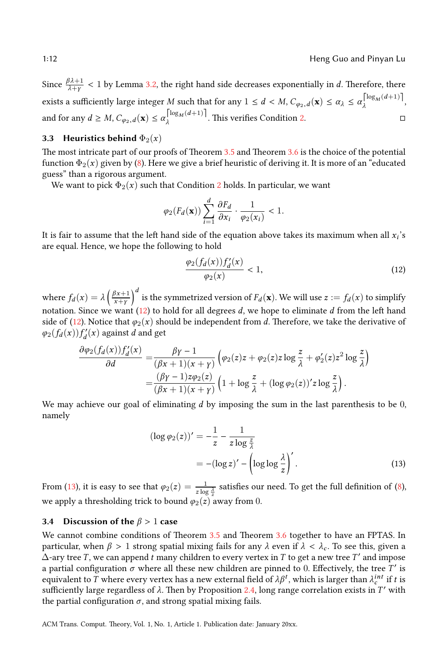Since  $\frac{\beta \lambda + 1}{\lambda + \gamma} < 1$  by Lemma 3.2, the right hand si[de d](#page-10-0)ecreases exp[one](#page-10-1)ntially in *d*. Therefore, there exists a sufficiently large [in](#page-11-0)teger  $M$  such that for any  $1 \leq d < M$ ,  $C_{\varphi_2,d}(\mathbf{x}) \leq \alpha_{\lambda} \leq \alpha_{\lambda}^{\left\lceil \log_M(d+1) \right\rceil}$  $\lambda^{\log_M(u+1)},$ and for any  $d \geq M$ ,  $C_{\varphi_2,d}(\mathbf{x}) \leq \alpha \begin{cases} \log_M(d+1) \\ \lambda \end{cases}$  $\lambda^{\log_M(u+1)}$ . [Th](#page-8-5)is verifies Condition 2. □

#### **3.3 Heuristics behind**  $\Phi_2(x)$

The most intricate part of our proofs of Theorem 3.5 and Theorem 3.6 is the choice of the potential function  $\Phi_2(x)$  given by (8). Here we give a brief heuristic of deriving it. It is more of an "educated" guess" than a rigorous argument.

We want to pick  $\Phi_2(x)$  such that Condition 2 holds. In particular, we want

$$
\varphi_2(F_d(\mathbf{x})) \sum_{i=1}^d \frac{\partial F_d}{\partial x_i} \cdot \frac{1}{\varphi_2(x_i)} < 1.
$$

It is fair to assume that the left hand side of the equation above takes its maximum when all  $x_i$ 's are equ[al. H](#page-12-0)ence, we hop[e th](#page-12-0)e following to hold

<span id="page-12-0"></span>
$$
\frac{\varphi_2(f_d(x))f'_d(x)}{\varphi_2(x)} < 1,\tag{12}
$$

where  $f_d(x) = \lambda \left( \frac{\beta x + 1}{x + v} \right)$ *x*+*γ*  $\int^d$  is the symmetrized version of  $F_d(\mathbf{x})$ . We will use  $z:=f_d(x)$  to simplify notation. Since we want (12) to hold for all degrees *d*, we hope to eliminate *d* from the left hand side of (12). Notice that  $\varphi_2(x)$  should be independent from *d*. Therefore, we take the derivative of  $\varphi_2(f_d(x))f'_d(x)$  against *d* and get

$$
\frac{\partial \varphi_2(f_d(x))f'_d(x)}{\partial d} = \frac{\beta \gamma - 1}{(\beta x + 1)(x + \gamma)} \left( \varphi_2(z)z + \varphi_2(z)z \log \frac{z}{\lambda} + \varphi_2'(z)z^2 \log \frac{z}{\lambda} \right)
$$

$$
= \frac{(\beta \gamma - 1)z\varphi_2(z)}{(\beta x + 1)(x + \gamma)} \left( 1 + \log \frac{z}{\lambda} + (\log \varphi_2(z))'z \log \frac{z}{\lambda} \right).
$$

We may achieve our goal of eliminating *d* by imposing the sum in the last parenthesis to be 0, namel[y](#page-12-1)

<span id="page-12-1"></span>
$$
(\log \varphi_2(z))' = -\frac{1}{z} - \frac{1}{z \log \frac{z}{\lambda}}
$$
  
= -(\log z)' - (\log \log \frac{\lambda}{z})'. (13)

From (13), it is easy to see that  $\varphi_2(z) = \frac{1}{z \log \frac{\lambda}{z}}$  satisfies our need. To get the full definition of (8), we apply a thresholding trick to bound  $\varphi_2(z)$  away from 0.

#### **3.4 Discussion of the** *β* > 1 **case**

We cannot combine conditions of Theorem 3.5 and Theorem 3.6 together to have an FPTAS. In particular, when *β* > 1 strong spatial mixing fails for any *λ* even if *λ* < *λ<sup>c</sup>* . To see this, given a  $\Delta$ -ary tree *T*, we can append *t* many children to every vertex in *T* to get a new tree *T'* and impose a partial configuration  $\sigma$  where all these new children are pinned to 0. Effectively, the tree  $T'$  is equivalent to *T* where every vertex has a new external field of  $λβ<sup>t</sup>$ , which is larger than  $λ<sup>int</sup>c$  if *t* is sufficiently large regardless of *λ*. Then by Proposition 2.4, long range correlation exists in *T* ′ with the partial configuration  $\sigma$ , and strong spatial mixing fails.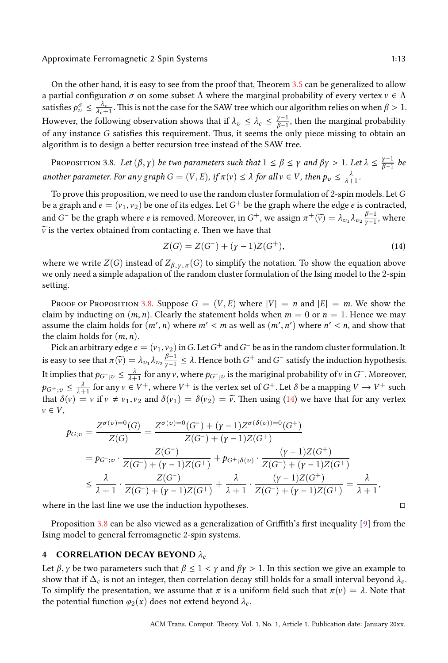<span id="page-13-0"></span>On the other hand, it is easy to see from the proof that, Theorem 3.5 can be generalized to allow a partial configuration  $\sigma$  on some subset  $\Lambda$  where the marginal probability of every vertex  $v \in \Lambda$ satisfies  $p_v^{\sigma} \leq \frac{\lambda_c}{\lambda_c+1}$ . This is not the case for the SAW tree which our algorithm relies on when  $\beta > 1$ . However, the following observation shows that if  $\lambda_v \leq \lambda_c \leq \frac{\gamma-1}{\beta-1}$  $\frac{Y-1}{\beta-1}$ , then the marginal probability of any instance *G* satisfies this requirement. Thus, it seems the only piece missing to obtain an algorithm is to design a better recursion tree instead of the SAW tree.

PROPOSITION 3.8. *Let*  $(\beta, \gamma)$  *be two parameters such that*  $1 \leq \beta \leq \gamma$  *and*  $\beta\gamma > 1$ *. Let*  $\lambda \leq \frac{\gamma-1}{\beta-1}$ *β*−1 *be another parameter. For any graph*  $G = (V, E)$ *, if*  $\pi(v) \leq \lambda$  *for all*  $v \in V$ *, then*  $p_v \leq \frac{\lambda}{\lambda + 1}$ *.* 

To prove this proposition, we need to use the random cluster formulation of 2-spin models. Let*G* be a graph and  $e = (v_1, v_2)$  be one of its edges. Let  $G^+$  be the graph where the edge  $e$  is contracted, and *G*<sup>−</sup> be the graph where *e* is removed. Moreover, in *G*<sup>+</sup>, we assign  $\pi^+(\widetilde{v}) = \lambda_{v_1} \lambda_{v_2} \frac{\beta-1}{\gamma-1}$  $\frac{p-1}{\gamma-1}$ , where  $\widetilde{v}$  is the vertex obtained fr[om c](#page-13-0)ontacting *e*. Then we have that

<span id="page-13-2"></span>
$$
Z(G) = Z(G^-) + (\gamma - 1)Z(G^+),\tag{14}
$$

where we write *Z*(*G*) instead of  $Z_{\beta, \gamma, \pi}(G)$  to simplify the notation. To show the equation above we only need a simple adapation of the random cluster formulation of the Ising model to the 2-spin setting.

PROOF OF PROPOSITION 3.8. Suppose  $G = (V, E)$  where  $|V| = n$  and  $|E| = m$ . We show the claim by inducting on  $(m, n)$ . Clearly the statement holds when  $m = 0$  or  $n = 1$ . Hence we may assume the claim holds for  $(m', n)$  $(m', n)$  $(m', n)$  where  $m' < m$  as well as  $(m', n')$  where  $n' < n$ , and show that the claim holds for (*m*, *n*).

Pick an arbitrary edge  $e = (v_1, v_2)$  in  $G$ . Let  $G^+$  and  $G^-$  be as in the random cluster formulation. It is easy to see that  $\pi(\widetilde{v}) = \lambda_{v_1} \lambda_{v_2} \frac{\beta - 1}{\gamma - 1}$ *<u>γ*−1</u></sup> ≤ *λ*. Hence both *G*<sup>+</sup> and *G*<sup>−</sup> satisfy the induction hypothesis. It implies that  $p_{G^+;v} \leq \frac{\lambda}{\lambda+1}$  for any  $v$ , where  $p_{G^+;v}$  is the mariginal probability of  $v$  in  $G^-$ . Moreover,  $p_{G^+;v} \leq \frac{\lambda}{\lambda+1}$  for any  $v \in V^+$ , where  $V^+$  is the vertex set of  $G^+$ . Let  $\delta$  be a mapping  $V \to V^+$  such that  $\delta(v) = v$  if  $v \neq v_1, v_2$  and  $\delta(v_1) = \delta(v_2) = \tilde{v}$ . Then using (14) we have that for any vertex  $v \in V$ ,

$$
p_{G;v} = \frac{Z^{\sigma(v)=0}(G)}{Z(G)} = \frac{Z^{\sigma(v)=0}(G^-) + (\gamma - 1)Z^{\sigma(\delta(v))=0}(G^+)}{Z(G^-) + (\gamma - 1)Z(G^+)}
$$
  
=  $p_{G^-;v} \cdot \frac{Z(G^-)}{Z(G^-) + (\gamma - 1)Z(G^+)} + p_{G^+;\delta(v)} \cdot \frac{(\gamma - 1)Z(G^+)}{Z(G^-) + (\gamma - 1)Z(G^+)}$   

$$
\leq \frac{\lambda}{\lambda + 1} \cdot \frac{Z(G^-)}{Z(G^-) + (\gamma - 1)Z(G^+)} + \frac{\lambda}{\lambda + 1} \cdot \frac{(\gamma - 1)Z(G^+)}{Z(G^-) + (\gamma - 1)Z(G^+)} = \frac{\lambda}{\lambda + 1},
$$

<span id="page-13-1"></span>where in the last line we use the induction hypotheses.  $□$ 

Proposition 3.8 can be also viewed as a generalization of Griffith's first inequality [9] from the Ising model to general ferromagnetic 2-spin systems.

#### **4 CORRELATION DECAY BEYOND** *λ<sup>c</sup>*

Let  $\beta$ , *γ* be two parameters such that  $\beta \leq 1 < \gamma$  and  $\beta \gamma > 1$ . In this section we give an example to show that if  $\Delta_c$  is not an integer, then correlation decay still holds for a small interval beyond  $\lambda_c$ . To simplify the presentation, we assume that *π* is a uniform field such that *π*(v) = *λ*. Note that the potential function  $\varphi_2(x)$  does not extend beyond  $\lambda_c$ .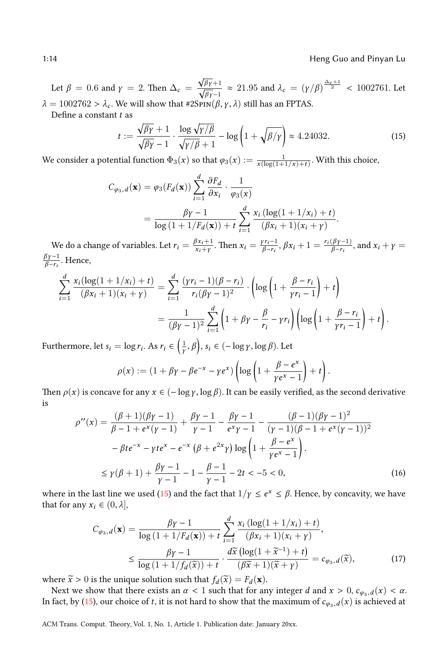Let  $\beta = 0.6$  and  $\gamma = 2$ . Then  $\Delta_c =$  $\frac{\sqrt{\beta\gamma}+1}{\sqrt{\beta\gamma}-1}$  ≈ 21.95 and  $\lambda_c = (\gamma/\beta)^{\frac{\Delta_c+1}{2}}$  < 1002761. Let  $\lambda = 1002762 > \lambda_c$ . We will show that #2SpIN( $\beta$ ,  $\gamma$ ,  $\lambda$ ) still has an FPTAS.

Define a constant *t* as

<span id="page-14-0"></span>
$$
t := \frac{\sqrt{\beta \gamma} + 1}{\sqrt{\beta \gamma} - 1} \cdot \frac{\log \sqrt{\gamma/\beta}}{\sqrt{\gamma/\beta} + 1} - \log \left( 1 + \sqrt{\beta/\gamma} \right) \approx 4.24032. \tag{15}
$$

We consider a potential function  $\Phi_3(x)$  so that  $\varphi_3(x) := \frac{1}{x(\log(1+1/x)+t)}$ . With this choice,

$$
C_{\varphi_3, d}(\mathbf{x}) = \varphi_3(F_d(\mathbf{x})) \sum_{i=1}^d \frac{\partial F_d}{\partial x_i} \cdot \frac{1}{\varphi_3(x)}
$$
  
= 
$$
\frac{\beta \gamma - 1}{\log(1 + 1/F_d(\mathbf{x})) + t} \sum_{i=1}^d \frac{x_i (\log(1 + 1/x_i) + t)}{(\beta x_i + 1)(x_i + \gamma)}.
$$

We do a change of variables. Let  $r_i = \frac{\beta x_i + 1}{x_i + v}$  $\frac{g_{x_i+1}}{g_{x_i+y}}$ . Then  $x_i = \frac{\gamma r_i - 1}{\beta - r_i}$  $\frac{f(r_i-1)}{\beta-r_i}, \beta x_i+1 = \frac{r_i(\beta \gamma-1)}{\beta-r_i}$ , and  $x_i + \gamma =$ *βγ* −1 *β*−*r<sup>i</sup>* . Hence,

$$
\sum_{i=1}^{d} \frac{x_i(\log(1+1/x_i)+t)}{(\beta x_i+1)(x_i+\gamma)} = \sum_{i=1}^{d} \frac{(\gamma r_i-1)(\beta-r_i)}{r_i(\beta \gamma-1)^2} \cdot \left(\log\left(1+\frac{\beta-r_i}{\gamma r_i-1}\right)+t\right)
$$

$$
= \frac{1}{(\beta \gamma-1)^2} \sum_{i=1}^{d} \left(1+\beta \gamma-\frac{\beta}{r_i}-\gamma r_i\right) \left(\log\left(1+\frac{\beta-r_i}{\gamma r_i-1}\right)+t\right).
$$

Furthermore, let  $s_i = \log r_i$ . As  $r_i \in \left(\frac{1}{\gamma}, \beta\right)$ ,  $s_i \in (-\log \gamma, \log \beta)$ . Let

<span id="page-14-2"></span><span id="page-14-1"></span>
$$
\rho(x) := (1 + \beta \gamma - \beta e^{-x} - \gamma e^x) \left( \log \left( 1 + \frac{\beta - e^x}{\gamma e^x - 1} \right) + t \right).
$$

Then  $\rho(x)$  is concave for any  $x \in (-\log y, \log \beta)$ . It can be easily verified, as the second derivative is

$$
\rho''(x) = \frac{(\beta + 1)(\beta\gamma - 1)}{\beta - 1 + e^x(\gamma - 1)} + \frac{\beta\gamma - 1}{\gamma - 1} - \frac{\beta\gamma - 1}{e^x\gamma - 1} - \frac{(\beta - 1)(\beta\gamma - 1)^2}{(\gamma - 1)(\beta - 1 + e^x(\gamma - 1))^2} \n- \beta t e^{-x} - \gamma t e^x - e^{-x} (\beta + e^{2x}\gamma) \log\left(1 + \frac{\beta - e^x}{\gamma e^x - 1}\right).
$$
\n
$$
\leq \gamma(\beta + 1) + \frac{\beta\gamma - 1}{\gamma - 1} - 1 - \frac{\beta - 1}{\gamma - 1} - 2t < -5 < 0,
$$
\n(16)

where in the last line we used (15) and the fact that  $1/y \le e^x \le \beta$ . Hence, by concavity, we have that for any  $x_i \in (0, \lambda]$ ,

$$
C_{\varphi_3,d}(\mathbf{x}) = \frac{\beta \gamma - 1}{\log\left(1 + 1/F_d(\mathbf{x})\right) + t} \sum_{i=1}^d \frac{x_i \left(\log(1 + 1/x_i) + t\right)}{(\beta x_i + 1)(x_i + \gamma)},
$$
  

$$
\leq \frac{\beta \gamma - 1}{\log\left(1 + 1/f_d(\widetilde{x})\right) + t} \cdot \frac{d\widetilde{x}\left(\log(1 + \widetilde{x}^{-1}) + t\right)}{(\beta \widetilde{x} + 1)(\widetilde{x} + \gamma)} = c_{\varphi_3,d}(\widetilde{x}),
$$
(17)

where  $\widetilde{x} > 0$  is the unique solution such that  $f_d(\widetilde{x}) = F_d(\mathbf{x})$ .

Next we show that there exists an  $\alpha$  < 1 such that for any integer *d* and  $x > 0$ ,  $c_{\varphi_3,d}(x) < \alpha$ . In fact, by (15), our choice of *t*, it is not hard to show that the maximum of  $c_{\varphi_3,d}(x)$  is achieved at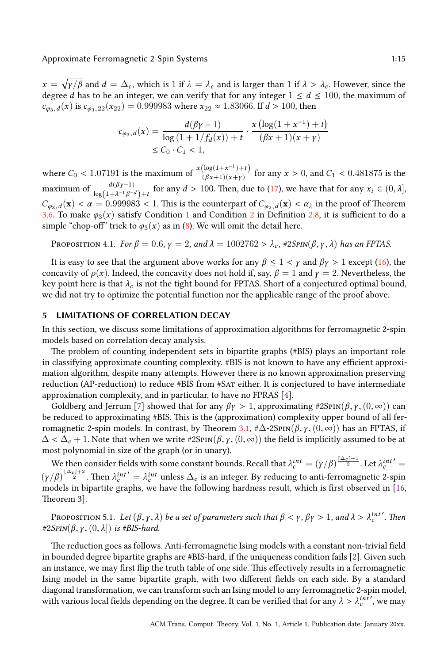$x = \sqrt{\gamma/\beta}$  and  $d = \Delta_c$ , which is 1 if  $\lambda = \lambda_c$  and is larger than 1 if  $\lambda > \lambda_c$ . However, since the degree *d* has to be an integer, we can verify that for any integer  $1 \le d \le 100$ , the maximum of  $c_{\varphi_3,d}(x)$  is  $c_{\varphi_3,22}(x_{22}) = 0.999983$  where  $x_{22} \approx 1.83066$ . If  $d > 100$ , then

$$
c_{\varphi_3, d}(x) = \frac{d(\beta \gamma - 1)}{\log (1 + 1/f_d(x)) + t} \cdot \frac{x (\log(1 + x^{-1}) + t)}{(\beta x + 1)(x + \gamma)}
$$
  
\$\leq C\_0 \cdot C\_1 < 1\$,

<span id="page-15-2"></span>where  $C_0 < 1.07191$  is the maximum of  $\frac{x(\log(1+x^{-1})+t)}{(\beta x+1)(x+v)}$  $\frac{\log(1+x^{-1})+y}{(\beta x+1)(x+y)}$  for any  $x > 0$ , and  $C_1 < 0.481875$  is the maximum of  $\frac{d(\beta \gamma - 1)}{\log(1 + \lambda^{-1} \beta^{-d}) + t}$  for any  $d > 100$ . Then, due to (17), we have that for any  $x_i \in (0, \lambda]$ ,  $C_{\varphi_3,d}(\mathbf{x}) < \alpha = 0.999983 < 1$ . This is the counterpart of  $C_{\varphi_2,d}(\mathbf{x}) < \alpha_{\lambda}$  in the proof of Theorem 3.6. To make  $\varphi_3(x)$  satisfy Condition 1 and Condition 2 in Definition 2.8, it is sufficient to do a simple "chop-off" trick to  $\varphi_3(x)$  as in (8). We will omit the detail here.

<span id="page-15-0"></span>PROPOSITION 4.1. *For*  $\beta = 0.6$ ,  $\gamma = 2$ , and  $\lambda = 1002762 > \lambda_c$ , #2*Spin*( $\beta, \gamma, \lambda$ ) *has an FPTAS.* 

It is easy to see that the argument above works for any  $\beta \leq 1 < \gamma$  and  $\beta \gamma > 1$  except (16), the concavity of  $\rho(x)$ . Indeed, the concavity does not hold if, say,  $\beta = 1$  and  $\gamma = 2$ . Nevertheless, the key point here is that  $\lambda_c$  is not the tight bound for FPTAS. Short of a conjectured optimal bound, we did not try to optimize the potential function nor the applicable range of the proof above.

#### **5 LIMITATIONS OF CORRELATION DECAY**

In this section, we discuss some limitations of approximation alg[or](#page-25-9)ithms for ferromagnetic 2-spin models based on correlat[io](#page-25-8)n decay analysis.

The problem of counting independent sets in bipartite graphs (#BIS) plays an important role in classifying approximate counting complexity. #BIS [is](#page-8-0) not known to have any efficient approximation algorithm, despite many attempts. However there is no known approximation preserving reduction (AP-reduction) to reduce #BIS from #SAT either. It is conjectured to have intermediate approximation complexity, and in particular, to have no FPRAS [4].

Goldberg and Jerrum [7] showed that for any  $\beta \gamma > 1$ , approximating #2SpIN( $\beta$ ,  $\gamma$ ,  $(0, \infty)$ ) can be reduced to approximating #BIS. This is the (approximation) complexity upper bound of all [fer](#page-25-11)romagnetic 2-spin models. In contrast, by Theorem 3.1, # $\Delta$ -2SpIN( $\beta$ , *γ*, (0, ∞)) has an FPTAS, if  $\Delta < \Delta_c + 1$ . Note that when we write #2SpIN( $\beta$ ,  $\gamma$ ,  $(0, \infty)$ ) the field is implicitly assumed to be at most polynomial in size of the graph (or in unary).

<span id="page-15-1"></span>We then consider fields with some constant bounds. Recall that  $\lambda_c^{int} = (\gamma/\beta)^{\frac{\lceil\Delta_c\rceil+1}{2}}.$  Let  $\lambda_c^{int'} =$  $(\gamma/\beta)^{\frac{|\Delta_c|+2}{2}}$ . Then  $\lambda_c^{int'} = \lambda_c^{int}$  unless  $\Delta_c$  is an integer. By reducing to anti-ferromagnetic 2-spin models in bipartite graphs, we have the following hardness result, which is first o[bs](#page-25-10)erved in [16, Theorem 3].

PROPOSITION 5.1. Let  $(\beta, \gamma, \lambda)$  be a set of parameters such that  $\beta < \gamma$ ,  $\beta \gamma > 1$ , and  $\lambda > \lambda_c^{int}$ ′ *. Then*  $\#2SPIN(\beta, \gamma, (0, \lambda])$  *is #BIS-hard.* 

The reduction goes as follows. Anti-ferromagnetic Ising models with a constant non-trivial field in bounded degree bipartite graphs are #BIS-hard, if the uniqueness condition fails [2]. Given such an instance, we may first flip the truth table of one side. This effectively results in a ferromagnetic Ising model in the same bipartite graph, with two different fields on each side. By a standard diagonal transformation, we can transform such an Ising model to any ferromagnetic 2-spin model, with various local fields depending on the degree. It can be verified that for any  $\lambda > \lambda_c^{int}$ ′ , we may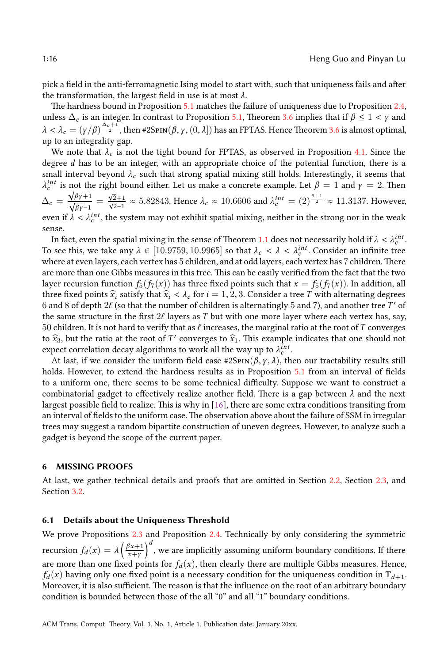pick a field in the anti-ferromagnetic Ising model to start with, such that uniqueness [fail](#page-15-2)s and after the transformation, the largest field in use is at most *λ*.

The hardness bound in Proposition 5.1 matches the failure of uniqueness due to Proposition 2.4, unless  $\Delta_c$  is an integer. In contrast to Proposition 5.1, Theorem 3.6 implies that if  $\beta \leq 1 < \gamma$  and  $\lambda<\lambda_c=(\gamma/\beta)^{\frac{\Delta_c+1}{2}}$ , then #2Sp1N $(\beta,\gamma,(0,\lambda])$  has an FPTAS. Hence Theorem 3.6 is almost optimal, up to an integrality gap.

We note that  $\lambda_c$  is not the tight bound for FPTAS, as observed in Proposition 4.1. Since the degree *d* has to be an integer, with an appropriate choice of the potential function, there is a small interval beyond  $\lambda_c$  such that strong spatial mixin[g sti](#page-3-0)ll holds. Interestingly, it seems that  $\lambda_c^{int}$  is not the right bound either. Let us make a concrete example. Let  $\beta = 1$  and  $\gamma = 2$ . Then  $\Delta_{c} = \frac{\sqrt{\beta\gamma+1}}{\sqrt{\beta\gamma-1}} =$  $\frac{\sqrt{2}+1}{\sqrt{2}-1}$  ≈ 5.82843. Hence  $λ_c$  ≈ 10.6606 and  $λ_c^{int}$  = (2)<sup>6+1</sup>/<sub>2</sub> ≈ 11.3137. However, even if  $\lambda < \lambda_c^{int}$ , the system may not exhibit spatial mixing, neither in the strong nor in the weak sense.

In fact, even the spatial mixing in the sense of Theorem 1.1 does not necessarily hold if  $\lambda < \lambda_c^{int}$ . To see this, we take any  $\lambda \in [10.9759, 10.9965]$  so that  $\lambda_c < \lambda < \lambda_c^{int}$ . Consider an infinite tree where at even layers, each vertex has 5 children, and at odd layers, each vertex has 7 children. There are more than one Gibbs measures in this tree. This can be easily verified from the fact that the two layer recursion function  $f_5(f_7(x))$  has three fixed points such that  $x = f_5(f_7(x))$ . In addition, all three fixed points  $\hat{x}_i$  satisfy that  $\hat{x}_i < \lambda_c$  for  $i = 1, 2, 3$ . Consider a tree *T* with alternating degrees  $6$  [an](#page-15-1)d  $8$  of depth  $2\ell$  (so that the number of children is alternatingly  $5$  and  $7$ ), and another tree  $T'$  of the same structure in the first 2ℓ layers as *T* but with one more layer where each vertex has, say, 50 children. It is not hard to verify that as ℓ increases, the marginal ratio at the root of*T* converges to  $\hat{x}_3$ , but the ratio at the root of *T'* converge[s to](#page-25-11)  $\hat{x}_1$ . This example indicates that one should not expect correlation decay algorithms to work all the way up to  $\lambda_c^{int}$ .

At last, if we consider the uniform field case  $\#2Spin(\beta, \gamma, \lambda)$ , then our tractability results still holds. However, to extend the hardness results as in Proposition 5.1 from an interval of fields to a uniform one, there seems to be some technical difficulty. Suppose we want to construct a combinatorial gadget to effectively realize another field. There is a gap between *λ* and the next largest possible field to realize. This is why in [16], there are some extra conditions transiting from an interval of fields to the uniform case. The observation above about the failu[re o](#page-6-1)f SSM ini[rreg](#page-7-5)ular trees m[ay s](#page-9-0)uggest a random bipartite construction of uneven degrees. However, to analyze such a gadget is beyond the scope of the current paper.

#### <span id="page-16-0"></span>**6 MISSING PROOF[S](#page-6-2)**

At last, we gather technical details and proofs that are omitted in Section 2.2, Section 2.3, and Section 3.2.

#### **6.1 Details about the Uniqueness Threshold**

We prove Propositions 2.3 and Proposition 2.4. Technically by only considering the symmetric recursion  $f_d(x) = \lambda \left( \frac{\beta x + 1}{x + y} \right)$ *x*+*γ*  $\big)^d$  , we are implicitly assuming uniform boundary conditions. If there are more than one fixed points for  $f_d(x)$ , then clearly there are multiple Gibbs measures. Hence,  $f_d(x)$  having only one fixed point is a necessary condition for the uniqueness condition in  $\mathbb{T}_{d+1}$ . Moreover, it is also sufficient. The reason is that the influence on the root of an arbitrary boundary condition is bounded between those of the all "0" and all "1" boundary conditions.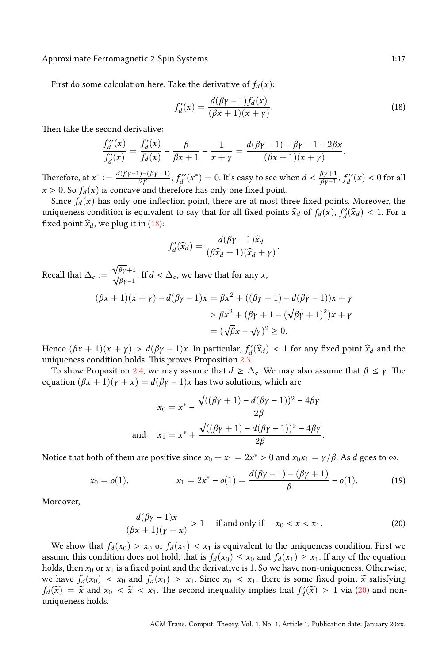First do some calculation here. Take the derivative of  $f_d(x)$ :

<span id="page-17-0"></span>
$$
f'_d(x) = \frac{d(\beta \gamma - 1) f_d(x)}{(\beta x + 1)(x + \gamma)}.
$$
\n(18)

.

Then take the second derivative:

$$
\frac{f''_d(x)}{f'_d(x)} = \frac{f'_d(x)}{f_d(x)} - \frac{\beta}{\beta x + 1} - \frac{1}{x + \gamma} = \frac{d(\beta \gamma - 1) - \beta \gamma - 1 - 2\beta x}{(\beta x + 1)(x + \gamma)}.
$$

Therefore, at  $x^* := \frac{d(\beta \gamma - 1) - (\beta \gamma + 1)}{2\beta}$  $\frac{D-(\beta\gamma+1)}{2\beta},$   $f_d''(x^*)=0.$  It's easy to see when  $d<\frac{\beta\gamma+1}{\beta\gamma-1}$  $\frac{\beta\gamma+1}{\beta\gamma-1}$ ,  $f_d''(x) < 0$  for all  $x > 0$ . So  $f_d(x)$  is concave and therefore has only one fixed point.

Since  $f_d(x)$  has only one inflection point, there are at most three fixed points. Moreover, the uniqueness condition is equivalent to say that for all fixed points  $\hat{x}_d$  of  $f_d(x)$ ,  $f'_d(\hat{x}_d) < 1$ . For a fixed point  $\widehat{x}_d$ , we plug it in (18):

$$
f'_d(\widehat{x}_d) = \frac{d(\beta \gamma - 1)\widehat{x}_d}{(\beta \widehat{x}_d + 1)(\widehat{x}_d + \gamma)}
$$

Recall that  $\Delta_c :=$  $\frac{\sqrt{\beta\gamma}+1}{\sqrt{\beta\gamma}-1}$ . If  $d < \Delta_c$ , we have that for any *x*,

$$
(\beta x + 1)(x + \gamma) - d(\beta \gamma - 1)x = \beta x^2 + ((\beta \gamma + 1) - d(\beta \gamma - 1))x + \gamma
$$
  
>  $\beta x^2 + (\beta \gamma + 1 - (\sqrt{\beta \gamma} + 1)^2)x + \gamma$   
=  $(\sqrt{\beta}x - \sqrt{\gamma})^2 \ge 0.$ 

Hence  $(\beta x + 1)(x + y) > d(\beta y - 1)x$ . In particular,  $f'_d(\hat{x}_d) < 1$  for any fixed point  $\hat{x}_d$  and the uniqueness condition holds. This proves Proposition 2.3.

To show Proposition 2.4, we may assume that  $d \geq \Delta_c$ . We may also assume that  $\beta \leq \gamma$ . The equation  $(\beta x + 1)(\gamma + x) = d(\beta \gamma - 1)x$  has two solutions, which are

$$
x_0 = x^* - \frac{\sqrt{((\beta \gamma + 1) - d(\beta \gamma - 1))^2 - 4\beta \gamma}}{2\beta}
$$
  
and 
$$
x_1 = x^* + \frac{\sqrt{((\beta \gamma + 1) - d(\beta \gamma - 1))^2 - 4\beta \gamma}}{2\beta}.
$$

Notice that both of them are positive since  $x_0 + x_1 = 2x^* > 0$  and  $x_0x_1 = \gamma/\beta$ . As *d* goes to  $\infty$ ,

$$
x_0 = o(1), \qquad x_1 = 2x^* - o(1) = \frac{d(\beta \gamma - 1) - (\beta \gamma + 1)}{\beta} - o(1). \qquad (19)
$$

Moreover,

$$
\frac{d(\beta\gamma-1)x}{(\beta x+1)(\gamma+x)} > 1 \quad \text{if and only if} \quad x_0 < x < x_1. \tag{20}
$$

We show that  $f_d(x_0) > x_0$  or  $f_d(x_1) < x_1$  is equivalent to the uniqueness condition. First we assume this condition does not hold, that is  $f_d(x_0) \le x_0$  and  $f_d(x_1) \ge x_1$ . If any of the equation holds, then *x*<sup>0</sup> or *x*<sup>1</sup> is a fixed point and the derivative is 1. So we have non-uniqueness. Otherwise, we have  $f_d(x_0) < x_0$  and  $f_d(x_1) > x_1$ . Since  $x_0 < x_1$ , there is some fixed point  $\tilde{x}$  satisfying  $f_d(\tilde{x}) = \tilde{x}$  and  $x_0 < \tilde{x} < x_1$ . The second inequality implies that  $f'_d(\tilde{x}) > 1$  via (20) and nonuniqueness holds.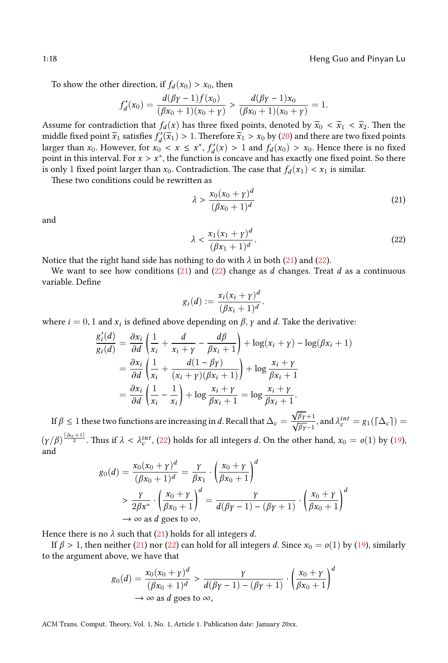To show the other direction, if  $f_d(x_0) > x_0$ , then

$$
f'_d(x_0) = \frac{d(\beta\gamma - 1)f(x_0)}{(\beta x_0 + 1)(x_0 + \gamma)} > \frac{d(\beta\gamma - 1)x_0}{(\beta x_0 + 1)(x_0 + \gamma)} = 1.
$$

Assume for contradiction that  $f_d(x)$  has three fixed points, denoted by  $\tilde{x}_0 < \tilde{x}_1 < \tilde{x}_2$ . Then the middle fixed point  $\widetilde{x}_1$  satisfies  $f'_d(\widetilde{x}_1) > 1$ . Therefore  $\widetilde{x}_1 > x_0$  by (20) and there are two fixed points larger than *x*<sub>0</sub>. However, for  $x_0 < x \le x^*$ ,  $f'_d(x) > 1$  and  $f_d(x_0) > x_0$ . Hence there is no fixed point in this interval. For  $x > x^*$ , the function is concave and has exactly one fixed point. So there is only 1 fixed point larger than  $x_0$ . Contradiction. The case that  $f_d(x_1) < x_1$  is similar.

These two conditions could be rewritten as

<span id="page-18-1"></span><span id="page-18-0"></span>
$$
\lambda > \frac{x_0(x_0 + \gamma)^d}{(\beta x_0 + 1)^d} \tag{21}
$$

and

$$
\lambda < \frac{x_1(x_1 + \gamma)^d}{(\beta x_1 + 1)^d}.\tag{22}
$$

Notice that the right hand side has nothing to do with  $\lambda$  in both (21) and (22).

We want to see how conditions (21) and (22) change as *d* changes. Treat *d* as a continuous variable. Define

$$
g_i(d) := \frac{x_i(x_i + \gamma)^d}{(\beta x_i + 1)^d}.
$$

where  $i = 0, 1$  and  $x_i$  is defined above depending on  $\beta$ ,  $\gamma$  and  $d$ . Take the derivative:

$$
\frac{g'_i(d)}{g_i(d)} = \frac{\partial x_i}{\partial d} \left( \frac{1}{x_i} + \frac{d}{x_i + \gamma} - \frac{d\beta}{\beta x_i + 1} \right) + \log(x_i + \gamma) - \log(\beta x_i + 1)
$$
  
= 
$$
\frac{\partial x_i}{\partial d} \left( \frac{1}{x_i} + \frac{d(1 - \beta \gamma)}{(x_i + \gamma)(\beta x_i + 1)} \right) + \log \frac{x_i + \gamma}{\beta x_i + 1}
$$
  
= 
$$
\frac{\partial x_i}{\partial d} \left( \frac{1}{x_i} - \frac{1}{x_i} \right) + \log \frac{x_i + \gamma}{\beta x_i + 1} = \log \frac{x_i + \gamma}{\beta x_i + 1}.
$$

If  $\beta \leq 1$  these two functions are increasing in *d*. Recall that  $\Delta_c =$  $\sqrt{\frac{\beta_Y}{\beta_Y-1}}$ , and  $\lambda_c^{int} = g_1(\lceil \Delta_c \rceil)$  =  $(\gamma/\beta)^{\frac{\lceil\Delta_c+1\rceil}{2}}$ . Thus if  $\lambda < \lambda_c^{int}$ , (22) holds for all integers *d*. On the other hand,  $x_0 = o(1)$  by (19), and

$$
g_0(d) = \frac{x_0(x_0 + \gamma)^d}{(\beta x_0 + 1)^d} = \frac{\gamma}{\beta x_1} \cdot \left(\frac{x_0 + \gamma}{\beta x_0 + 1}\right)^d
$$
  
> 
$$
\frac{\gamma}{2\beta x^*} \cdot \left(\frac{x_0 + \gamma}{\beta x_0 + 1}\right)^d = \frac{\gamma}{d(\beta \gamma - 1) - (\beta \gamma + 1)} \cdot \left(\frac{x_0 + \gamma}{\beta x_0 + 1}\right)^d
$$
  
\$\to \infty\$ as d goes to  $\infty$ .

Hence there is no  $\lambda$  such that (21) holds for all integers  $d$ .

If  $\beta > 1$ , then neither (21) nor (22) can hold for all integers *d*. Since  $x_0 = o(1)$  by (19), similarly to the argument above, we have that

$$
g_0(d) = \frac{x_0(x_0 + \gamma)^d}{(\beta x_0 + 1)^d} > \frac{\gamma}{d(\beta \gamma - 1) - (\beta \gamma + 1)} \cdot \left(\frac{x_0 + \gamma}{\beta x_0 + 1}\right)^d
$$
  
\n
$$
\to \infty \text{ as } d \text{ goes to } \infty,
$$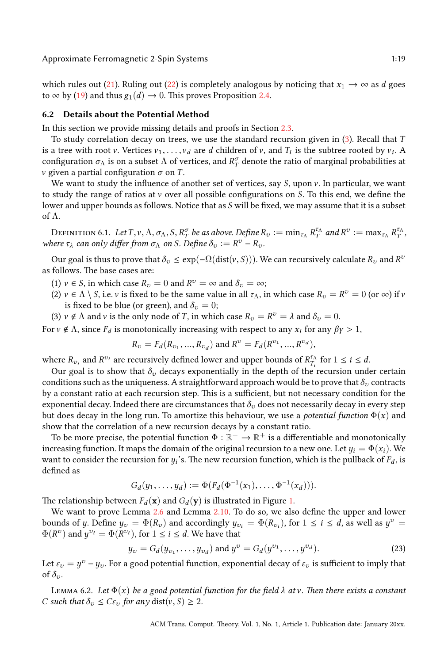which rules out (21). Ruling out (22) is completely analogous by noticing that  $x_1 \rightarrow \infty$  as *d* goes to  $\infty$  by (19) and thus  $g_1(d) \rightarrow 0$ . This proves Proposition 2.4.

#### **6.2 Details about the Potential Method**

In this section we provide missing details and proofs in Section 2.3.

<span id="page-19-0"></span>To study correlation decay on trees, we use the standard recursion given in (3). Recall that *T* is a tree with root v. Vertices  $v_1, \ldots, v_d$  are *d* children of v, and  $T_i$  is the subtree rooted by  $v_i$ . A configuration  $\sigma_\Lambda$  is on a subset  $\Lambda$  of vertices, and  $R^\sigma_T$  denote the ratio of marginal probabilities at *v* given a partial configuration  $\sigma$  on *T*.

We want to study the influence of another set of vertices, say *S*, upon *v*. In particular, we want to study the range of ratios at v over all possible configurations on *S*. To this end, we define the lower and upper bounds as follows. Notice that as *S* will be fixed, we may assume that it is a subset of Λ.

DEFINITION 6.1. Let  $T, v, \Lambda, \sigma_{\Lambda}, S, R_T^{\sigma}$  be as above. Define  $R_v := \min_{\tau_{\Lambda}} R_T^{\tau_{\Lambda}}$  and  $R^v := \max_{\tau_{\Lambda}} R_T^{\tau_{\Lambda}}$ *where*  $\tau_{\lambda}$  *can only differ from*  $\sigma_{\Lambda}$  *on S. Define*  $\delta_v := R^v - R_v$ *.* 

Our goal is thus to prove that  $\delta_v \leq \exp(-\Omega(\text{dist}(v, S)))$ . We can recursively calculate  $R_v$  and  $R^v$ as follows. The base cases are:

(1)  $v \in S$ , in which case  $R_v = 0$  and  $R^v = \infty$  and  $\delta_v = \infty$ ;

- (2)  $v \in \Lambda \setminus S$ , i.e. *v* is fixed to be the same value in all  $\tau_\Lambda$ , in which case  $R_v = R^v = 0$  (or  $\infty$ ) if *v* is fixed to be blue (or green), and  $\delta_v = 0$ ;
- (3)  $v \notin \Lambda$  and  $v$  is the only node of *T*, in which case  $R_v = R^v = \lambda$  and  $\delta_v = 0$ .

For  $v \notin \Lambda$ , since  $F_d$  is monotonically increasing with respect to any  $x_i$  for any  $\beta \gamma > 1$ ,

$$
R_v = F_d(R_{v_1}, ..., R_{v_d})
$$
 and  $R^v = F_d(R^{v_1}, ..., R^{v_d})$ ,

where  $R_{v_i}$  and  $R^{v_i}$  are recursively defined lower and upper bounds of  $R_{T_i}^{\tau_{\Lambda}}$  $T_i^{\tau_A}$  for  $1 \leq i \leq d$ .

Our goal is to show that  $\delta$ <sup>*v*</sup> decays exponentially in the depth of the recursion under certain conditions such as the uniqueness. A straightforward approach would be to prove that  $\delta_v$  contracts by a constant ratio at each recursion step. This is a sufficient, but not necessary condition for the exponential decay. Indeed there are circumstances that  $\delta_v$  does not necessarily decay in every step but does decay in the long run. To amortize this behaviour, we use a *potential function*  $\Phi(x)$  and show that the correlation of a new recursion decays by a constant ratio.

To be more precise, the potential function  $\Phi:\mathbb{R}^+\to\mathbb{R}^+$  is a d[iff](#page-20-0)erentiable and monotonically increasing function. It maps t[he d](#page-7-4)omain of the [orig](#page-8-1)inal recursion to a new one. Let  $y_i = \Phi(x_i)$ . We want to consider the recursion for  $y_i$ 's. The new recursion function, which is the pullback of  $F_d$ , is defined as

$$
G_d(y_1,\ldots,y_d):=\Phi(F_d(\Phi^{-1}(x_1),\ldots,\Phi^{-1}(x_d))).
$$

The relationship between  $F_d(\mathbf{x})$  and  $G_d(\mathbf{y})$  is illustrated in Figure 1.

<span id="page-19-1"></span>We want to prove Lemma 2.6 and Lemma 2.10. To do so, we also define the upper and lower bounds of *y*. Define  $y_v = \Phi(R_v)$  and accordingly  $y_{v_i} = \Phi(R_{v_i})$ , for  $1 \le i \le d$ , as well as  $y^v =$  $\Phi(R^v)$  and  $y^{v_i} = \Phi(R^{v_i})$ , for  $1 \le i \le d$ . We have that

$$
y_v = G_d(y_{v_1}, \dots, y_{v_d})
$$
 and  $y^v = G_d(y^{v_1}, \dots, y^{v_d}).$  (23)

Let  $\varepsilon_v = y^v - y_v$ . For a good potential function, exponential decay of  $\varepsilon_v$  is sufficient to imply that of  $\delta_{\nu}$ .

Lemma 6.2. *Let* Φ(*x*) *be a good potential function for the field λ at* v*. Then there exists a constant C* such that  $\delta_v \leq C \varepsilon_v$  for any dist $(v, S) \geq 2$ .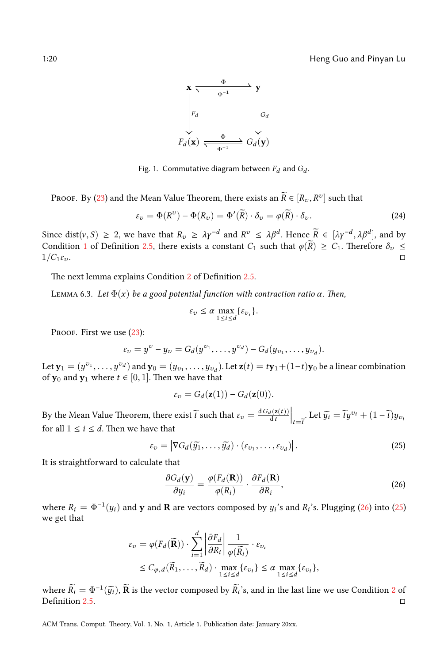<span id="page-20-0"></span>1:20 Heng Guo and Pinyan Lu

<span id="page-20-3"></span>

Fig. 1. Commutative diagram between  $F_d$  and  $G_d$ .

Proof. By (23) and the Mean Value Theorem, there exists an  $\widetilde{R} \in [R_v, R^v]$  such that

$$
\varepsilon_{\upsilon} = \Phi(R^{\upsilon}) - \Phi(R_{\upsilon}) = \Phi'(\widetilde{R}) \cdot \delta_{\upsilon} = \varphi(\widetilde{R}) \cdot \delta_{\upsilon}.
$$
 (24)

<span id="page-20-2"></span>Since dist( $v, S$ )  $\geq 2$ , we have that  $R_v \geq \lambda y^{-d}$  and  $R^v \leq \lambda \beta^d$ . Hence  $\widetilde{R} \in [\lambda \gamma^{-d}, \lambda \beta^d]$ , and by Condition 1 of Definition 2.5, there exists a constant  $C_1$  such that  $\varphi(\overline{R}) \geq C_1$ . Therefore  $\delta_v \leq 1/C_1\varepsilon_v$ .  $1/C_1\varepsilon_v$ .

The next lemma explains Condition 2 of Definition 2.5.

Lemma 6.3. *Let* Φ(*x*) *be a good potential function with contraction ratio α. Then,*

<span id="page-20-1"></span>
$$
\varepsilon_{\upsilon} \leq \alpha \max_{1 \leq i \leq d} \{\varepsilon_{\upsilon_i}\}.
$$

PROOF. First we use (23):

$$
\varepsilon_v = y^v - y_v = G_d(y^{v_1}, \ldots, y^{v_d}) - G_d(y_{v_1}, \ldots, y_{v_d}).
$$

Let  $\mathbf{y}_1=(y^{v_1},\ldots,y^{v_d})$  and  $\mathbf{y}_0=(y_{v_1},\ldots,y_{v_d}).$  Let  $\mathbf{z}(t)=t\mathbf{y}_1+(1-t)\mathbf{y}_0$  be a linear combination of **y**<sub>0</sub> and **y**<sub>1</sub> where  $t \in [0, 1]$ . Then we have that

$$
\varepsilon_{v} = G_d(\mathbf{z}(1)) - G_d(\mathbf{z}(0)).
$$

By the Mean Value Theorem, there exist  $\widetilde{t}$  such that  $\varepsilon_v = \frac{dG_d(\mathbf{z}(t))}{dt}$  $\left| \int_{t=\tilde{t}} \text{Let } \tilde{y}_i = \tilde{t} y^{v_i} + (1 - \tilde{t}) y_{v_i} \right|$ for all  $1 \le i \le d$ . Then we have that

$$
\varepsilon_{\upsilon} = \left| \nabla G_d(\widetilde{y_1}, \dots, \widetilde{y_d}) \cdot (\varepsilon_{\upsilon_1}, \dots, \varepsilon_{\upsilon_d}) \right|.
$$
 (25)

It is straightforward to calculate that

$$
\frac{\partial G_d(\mathbf{y})}{\partial y_i} = \frac{\varphi(F_d(\mathbf{R}))}{\varphi(R_i)} \cdot \frac{\partial F_d(\mathbf{R})}{\partial R_i},\tag{26}
$$

where  $R_i = \Phi^{-1}(y_i)$  and **y** and **R** are vectors composed by  $y_i$ 's and  $R_i$ 's. Plugging (26) into (25) we get that

$$
\varepsilon_{\upsilon} = \varphi(F_d(\widetilde{\mathbf{R}})) \cdot \sum_{i=1}^d \left| \frac{\partial F_d}{\partial R_i} \right| \frac{1}{\varphi(\widetilde{R}_i)} \cdot \varepsilon_{\upsilon_i}
$$
  
\n
$$
\leq C_{\varphi,d}(\widetilde{R}_1, \dots, \widetilde{R}_d) \cdot \max_{1 \leq i \leq d} \{\varepsilon_{\upsilon_i}\} \leq \alpha \max_{1 \leq i \leq d} \{\varepsilon_{\upsilon_i}\},
$$

where  $\widetilde{R}_i = \Phi^{-1}(\widetilde{y}_i)$ ,  $\widetilde{\mathbf{R}}$  is the vector composed by  $\widetilde{R}_i$ 's, and in the last line we use Condition 2 of Definition 2.5.  $\Box$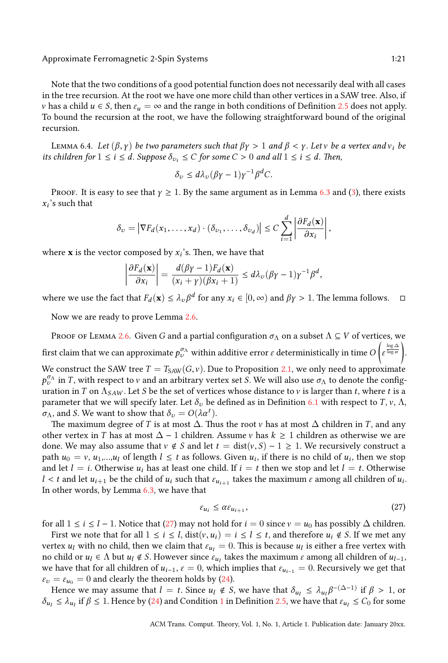<span id="page-21-1"></span>Note that the two conditions of a good potential function does not necessarily deal with all cases in the tree recursion. At the root we have one more child than other vertices in a SAW tree. Also, if *v* has a child  $u \in S$ , then  $\varepsilon_u = \infty$  and the range in both conditions of Definition 2.5 does not apply. To bound the recursion at the root, we have the following straightforwar[d b](#page-20-2)ound [o](#page-5-0)f the original recursion.

LEMMA 6.4. *Let*  $(β, γ)$  *be two parameters such that*  $βγ > 1$  *and*  $β < γ$ . *Letv be a vertex and*  $ν<sub>i</sub>$  *be its children for*  $1 \le i \le d$ *. Suppose*  $\delta_{v_i} \le C$  *for some*  $C > 0$  *and all*  $1 \le i \le d$ *. Then,* 

$$
\delta_v \le d\lambda_v (\beta \gamma - 1) \gamma^{-1} \beta^d C.
$$

Proof. It is easy to see that  $\gamma \geq 1$ . By the same argument as in Lemma 6.3 and (3), there exists *xi* 's such that

$$
\delta_v = \left| \nabla F_d(x_1, \ldots, x_d) \cdot (\delta_{v_1}, \ldots, \delta_{v_d}) \right| \leq C \sum_{i=1}^d \left| \frac{\partial F_d(\mathbf{x})}{\partial x_i} \right|,
$$

where  $\mathbf x$  is the vector composed by  $x_i$ ['s. Th](#page-7-4)en, we have that

$$
\left|\frac{\partial F_d(\mathbf{x})}{\partial x_i}\right| = \frac{d(\beta\gamma - 1)F_d(\mathbf{x})}{(x_i + \gamma)(\beta x_i + 1)} \leq d\lambda_v(\beta\gamma - 1)\gamma^{-1}\beta^d,
$$

where we use the fact that  $F_d(\mathbf{x}) \leq \lambda_v \beta^d$  for any  $x_i \in [0, \infty)$  and  $\beta \gamma > 1$ . The lemma follows.  $\Box$ 

Now we are ready to prove Lemma 2.6.

Proof of Lemma 2.6. Given *G* and a partial configuration  $\sigma_{\Lambda}$  on a s[ubse](#page-19-0)t  $\Lambda \subseteq V$  of vertices, we first claim that we can approximate  $p^{\sigma_{\Lambda}}_{v}$  within additive error  $\varepsilon$  deterministically in time  $O$  $\overline{a}$ *ε*<sup> $\frac{\log \Delta}{\log \alpha}$ </sup> . We construct the SAW tree  $T = T_{SAW}(G, v)$ . Due to Proposition 2.1, we only need to approximate  $p_v^{\sigma_{\Lambda}}$  in *T*, with respect to v and an arbitrary vertex set *S*. We will also use  $\sigma_{\Lambda}$  to denote the configuration in *T* on  $\Lambda_{SAW}$ . Let *S* be the set of vertices whose distance to *v* is larger than *t*, where *t* is a parameter that we will specify later. Let  $\delta_v$  be defined as in Definition 6.1 with respect to *T*, *v*,  $\Lambda$ , *σ*<sub>Λ</sub>, and *S*. We want to show that  $δ<sub>v</sub> = O(λα<sup>t</sup>)$ .

[T](#page-20-2)he maximum degree of *T* is at most  $\Delta$ . Thus the root v has at most  $\Delta$  children in *T*, and any other vertex in *T* has at most ∆ − 1 children. Assume v has *k* ≥ 1 children as otherwise we are done. We may also assume that  $v \notin S$  and let  $t = \text{dist}(v, S) - 1 \geq 1$ . We recursively construct a path  $u_0 = v$ ,  $u_1,...,u_l$  of length  $l \leq t$  as follows. Given  $u_i$ , if there is no child of  $u_i$ , then we stop and let  $l = i$ . Otherwise  $u_i$  has at least one child. If  $i = t$  then we stop and let  $l = t$ . Otherwise *l* < *t* and let  $u_{i+1}$  be the child of  $u_i$  such that  $\varepsilon_{u_{i+1}}$  takes the maximum  $\varepsilon$  among all children of  $u_i$ . In other words, by Lemma 6.3, we have that

<span id="page-21-0"></span>
$$
\varepsilon_{u_i} \le \alpha \varepsilon_{u_{i+1}},\tag{27}
$$

for all  $1 \le i \le l - 1$ . Notice that (27) may not hold for  $i = 0$  since  $v = u_0$  has possibly ∆ children.

First we note that for all  $1 \le i \le l$ , dist $(v, u_i) = i \le l \le t$  $(v, u_i) = i \le l \le t$  $(v, u_i) = i \le l \le t$ , [and](#page-7-1) therefore  $u_i \notin S$ . If we met any vertex  $u_l$  with no child, then we claim that  $\varepsilon_{u_l} = 0$ . This is because  $u_l$  is either a free vertex with no child or  $u_l \in \Lambda$  but  $u_l \notin S$ . However since  $\varepsilon_{u_l}$  takes the maximum  $\varepsilon$  among all children of  $u_{l-1}$ , we have that for all children of  $u_{i-1}$ ,  $\varepsilon = 0$ , which implies that  $\varepsilon_{u_{i-1}} = 0$ . Recursively we get that  $\varepsilon_v = \varepsilon_{u_0} = 0$  and clearly the theorem holds by (24).

Hence we may assume that  $l = t$ . Since  $u_l \notin S$ , we have that  $\delta_{u_l} \leq \lambda_{u_l} \beta^{-(\Delta-1)}$  if  $\beta > 1$ , or  $\delta$ *u*<sub>l</sub>  $\leq \lambda$ *u*<sub>*l*</sub> if  $\beta \leq 1$ . Hence by (24) and Condition 1 in Definition 2.5, we have that  $\varepsilon$ *u*<sub>*l*</sub>  $\leq C_0$  for some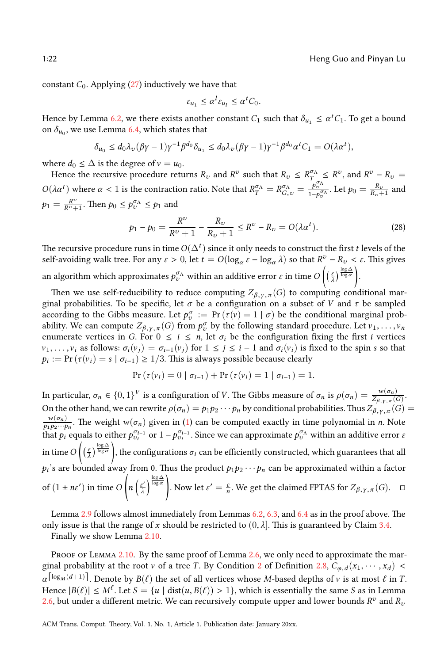constant  $C_0$ . Applying  $(27)$  inductively we have that

$$
\varepsilon_{u_1} \le \alpha^l \varepsilon_{u_l} \le \alpha^t C_0.
$$

Hence by Lemma 6.2, we there exists another constant  $C_1$  such that  $\delta_{u_1} \leq \alpha^t C_1$ . To get a bound on  $\delta_{u_0}$ , we use Lemma 6.4, which states that

$$
\delta_{u_0} \leq d_0 \lambda_v (\beta \gamma - 1) \gamma^{-1} \beta^{d_0} \delta_{u_1} \leq d_0 \lambda_v (\beta \gamma - 1) \gamma^{-1} \beta^{d_0} \alpha^t C_1 = O(\lambda \alpha^t),
$$

where  $d_0 \leq \Delta$  is the degree of  $v = u_0$ .

Hence the recursive procedure returns  $R_v$  and  $R^v$  such that  $R_v \leq R_T^{\sigma_{\Lambda}} \leq R^v$ , and  $R^v - R_v =$  $O(\lambda \alpha^t)$  where  $\alpha < 1$  is the contraction ratio. Note that  $R_T^{\sigma_{\Lambda}} = R_{G,\nu}^{\sigma_{\Lambda}} = \frac{P_{\nu}^{\sigma_{\Lambda}}}{1 - P_{\nu}^{\sigma_{\Lambda}}}$ . Let  $p_0 = \frac{R_{\nu}}{R_{\nu} + 1}$  and  $p_1 = \frac{R^v}{R^v + 1}$ . Then  $p_0 \le p_v^{\sigma_{\Lambda}} \le p_1$  and

$$
p_1 - p_0 = \frac{R^v}{R^v + 1} - \frac{R_v}{R_v + 1} \le R^v - R_v = O(\lambda \alpha^t).
$$
 (28)

The recursive procedure runs in time  $O(\Delta^t)$  since it only needs to construct the first  $t$  levels of the self-avoiding walk tree. For any  $\varepsilon > 0$ , let  $t = O(\log_{\alpha} \varepsilon - \log_{\alpha} \lambda)$  so that  $R^v - R_v < \varepsilon$ . This gives an algorithm which approximates  $p^{\sigma_{\Lambda}}_{\upsilon}$  within an additive error  $\varepsilon$  in time  $O$  $\left(\left(\frac{\varepsilon}{\lambda}\right)^{\frac{\log \Delta}{\log \alpha}}\right)$ .

Then we use self-reducibility to reduce computing  $Z_{\beta,\gamma,\pi}(G)$  to computing conditional marginal probabilities. To be specific, let  $\sigma$  be a configuration on a subset of *V* and  $\tau$  be sampled according to the Gibbs measure. Let  $p_v^{\sigma} := \Pr(\tau(v) = 1 | \sigma)$  be the conditional marginal probability. We can compute  $Z_{\beta,\gamma,\pi}(G)$  from  $p_v^{\sigma}$  by the following standard procedure. Let  $v_1, \ldots, v_n$ enumerate vertices in *G*. For  $0 \le i \le n$ , let  $\sigma_i$  be the configuration fixing the first *i* vertices  $v_1, \ldots, v_i$  as follows:  $\sigma_i(v_j) = \sigma_{i-1}(v_j)$  for  $1 \leq j \leq i-1$  and  $\sigma_i(v_i)$  is fixed to the spin *s* so that  $p_i := \Pr\left(\tau(v_i) = s \mid \sigma_{i-1}\right) \geq 1/3$ . This [is](#page-4-1) always possible because clearly

$$
Pr(\tau(v_i) = 0 | \sigma_{i-1}) + Pr(\tau(v_i) = 1 | \sigma_{i-1}) = 1.
$$

In particular,  $\sigma_n \in \{0,1\}^V$  is a configuration of V. The Gibbs measure of  $\sigma_n$  is  $\rho(\sigma_n) = \frac{w(\sigma_n)}{Z_{\beta,\gamma,\pi}(G)}$ . On the other hand, we can rewrite  $\rho(\sigma_n) = p_1 p_2 \cdots p_n$  by conditional probabilities. Thus  $Z_{\beta,\gamma,\pi}(G) =$  $w(\sigma_n)$  $\frac{w(\sigma_n)}{p_1p_2\cdots p_n}$ . The weight  $w(\sigma_n)$  given in (1) can be computed exactly in time polynomial in *n*. Note that  $p_i$  equals to either  $p_{v_i}^{\sigma_{i-1}}$  or  $1 - p_{v_i}^{\sigma_{i-1}}$ . Since we can approximate  $p_v^{\sigma_{\Lambda}}$  within an additive error *ε* in time*O*  $\left(\left(\frac{\varepsilon}{\lambda}\right)^{\frac{\log \Delta}{\log \alpha}}\right)$  $\left(\left(\frac{\varepsilon}{\lambda}\right)^{\frac{\log \Delta}{\log \alpha}}\right)$  $\left(\left(\frac{\varepsilon}{\lambda}\right)^{\frac{\log \Delta}{\log \alpha}}\right)$ , the configurations  $\sigma_i$  can be efficien[tly](#page-19-1) [cons](#page-20-2)truc[ted,](#page-21-1) which guarantees [tha](#page-9-1)t all  $p_i$ 's are bounded away fro[m 0.](#page-8-1) Thus the product  $p_1p_2\cdots p_n$  can be approximated within a factor of  $(1 \pm n\varepsilon')$  in time O ( *[n](#page-8-1)*  $\left(\frac{\varepsilon'}{2}\right)$ *λ*  $\frac{\log \Delta}{\log \alpha}$ . Now let  $\varepsilon' = \frac{\varepsilon}{n}$ . We [get](#page-7-4) the claimed FPTAS for  $Z_{\beta, \gamma, \pi}(G)$ .  $\Box$ 

Lemma 2.9 follows almost immediately from Lemmas 6.2, 6.3, and 6.4 as in the proof above. The only issue is that the range of *x* should be restricted to  $(0, \lambda]$ . This is guaranteed by Claim 3.4. [F](#page-7-4)inally we show Lemma 2.10.

PROOF OF LEMMA 2.10. By the same proof of Lemma 2.6, we only need to approximate the marginal probability at the root v of a tree *T*. By Condition 2 of Definition 2.8,  $C_{\varphi,d}(x_1, \dots, x_d)$  <  $\alpha^{\lceil \log_M(d+1) \rceil}$ . Denote by  $B(\ell)$  the set of all vertices whose *M*-based depths of v is at most  $\ell$  in *T*. Hence  $|B(\ell)| \le M^{\ell}$ . Let  $S = \{u \mid \text{dist}(u, B(\ell)) > 1\}$ , which is essentially the same *S* as in Lemma 2.6, but under a different metric. We can recursively compute upper and lower bounds  $R^v$  and  $R_v$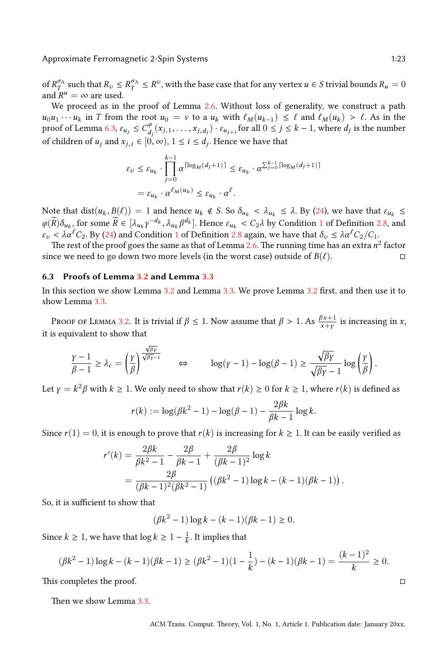Approximate Fe[rrom](#page-20-2)agnetic 2-Spin Systems 1:23

of  $R_T^{\sigma_A}$  such that  $R_v \leq R_T^{\sigma_A} \leq R^v$ , with the base case that for any vertex  $u \in S$  trivial bounds  $R_u = 0$ and  $R^u = \infty$  are used.

We proceed as in the proof of Lemma 2.6. Without loss of generality, we construct a path  $u_0u_1 \cdots u_k$  in *T* from the root  $u_0 = v$  to a  $u_k$  with  $\ell_M(u_{k-1}) \leq \ell$  and  $\ell_M(u_k) > \ell$ . As in the proof of Lemma 6.3,  $\varepsilon_{u_j} \leq C_d^{\varphi}$  $\int_{d_j}^{\varphi} (x_{j,1}, \ldots, x_{j,d_j}) \cdot \varepsilon_{u_{j+1}}$  for all  $0 \le j \le k-1$ , where  $d_j$  is the number of children of  $u_j$  and  $x_{j,i} \in [0,\infty)$ ,  $1 \leq i \leq d_j$ . Hence we have that

$$
\varepsilon_{v} \leq \varepsilon_{u_{k}} \cdot \prod_{j=0}^{k-1} \alpha^{\lceil \log_{M}(d_{j}+1) \rceil} \leq \varepsilon_{u_{k}} \cdot \alpha^{\sum_{j=0}^{k-1} \lceil \log_{M}(d_{j}+1) \rceil}
$$

$$
= \varepsilon_{u_{k}} \cdot \alpha^{\ell_{M}(u_{k})} \leq \varepsilon_{u_{k}} \cdot \alpha^{\ell}.
$$

Note that dist $(u_k, B(\ell)) = 1$  $(u_k, B(\ell)) = 1$  and hence  $u_k \notin S$ . So  $\delta_{u_k} < \lambda_{u_k} \leq \lambda$  $\delta_{u_k} < \lambda_{u_k} \leq \lambda$  $\delta_{u_k} < \lambda_{u_k} \leq \lambda$ . By (24), we have that  $\varepsilon_{u_k} \leq$  $\varphi(\widetilde{R})\delta_{u_k}$ , for some  $\widetilde{R} \in [\lambda_{u_k}y^{-d_k}, \lambda_{u_k}\beta^{d_k}]$ . Hence  $\varepsilon_{u_k} < C_2\lambda$  by Condit[ion](#page-9-3) 1 of Definition 2.8, and *ε<sup>v</sup>* < *λα*ℓ*C*2. [By \(2](#page-9-2)4) and Condition 1 of Definition 2.8 again, we have that *δ<sup>v</sup>* ≤ *λα*ℓ*C*2/*C*1.

The rest of the proof goes the same as that of Lemma 2.6. The running time has an extra  $n^2$  factor since we need to go [dow](#page-9-3)n two more levels (in the worst case) outside of  $B(\ell)$ .  $\square$ 

#### **6.3 Proofs of Lemma 3.2 and Lemma 3.3**

In this section we show Lemma 3.2 and Lemma 3.3. We prove Lemma 3.2 first, and then use it to show Lemma 3.3.

Proof of Lemma 3.2. It is trivial if  $\beta \leq 1$ . Now assume that  $\beta > 1$ . As  $\frac{\beta x+1}{x+y}$  is increasing in *x*, it is equivalent to show that

$$
\frac{\gamma-1}{\beta-1} \geq \lambda_c = \left(\frac{\gamma}{\beta}\right)^{\frac{\sqrt{\beta\gamma}}{\sqrt{\beta\gamma-1}}} \qquad \Leftrightarrow \qquad \log(\gamma-1) - \log(\beta-1) \geq \frac{\sqrt{\beta\gamma}}{\sqrt{\beta\gamma}-1} \log\left(\frac{\gamma}{\beta}\right).
$$

Let  $\gamma = k^2 \beta$  with  $k \ge 1$ . We only need to show that  $r(k) \ge 0$  for  $k \ge 1$ , where  $r(k)$  is defined as

$$
r(k) := \log(\beta k^2 - 1) - \log(\beta - 1) - \frac{2\beta k}{\beta k - 1} \log k.
$$

Since  $r(1) = 0$ , it is enough to prove that  $r(k)$  is increasing for  $k \ge 1$ . It can be easily verified as

$$
r'(k) = \frac{2\beta k}{\beta k^2 - 1} - \frac{2\beta}{\beta k - 1} + \frac{2\beta}{(\beta k - 1)^2} \log k
$$
  
= 
$$
\frac{2\beta}{(\beta k - 1)^2(\beta k^2 - 1)} ((\beta k^2 - 1) \log k - (k - 1)(\beta k - 1)).
$$

So, it is sufficient to show that

$$
(\beta k^2 - 1) \log k - (k - 1)(\beta k - 1) \ge 0.
$$

Since  $k \geq 1$ , we have that  $\log k \geq 1 - \frac{1}{k}$ . It implies that

$$
(\beta k^2 - 1) \log k - (k - 1)(\beta k - 1) \ge (\beta k^2 - 1)(1 - \frac{1}{k}) - (k - 1)(\beta k - 1) = \frac{(k - 1)^2}{k} \ge 0.
$$

This completes the proof. □

Then we show Lemma 3.3.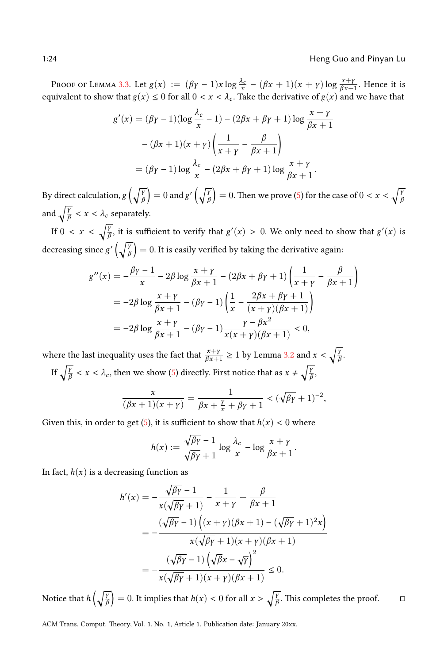Proof of Lemma 3.3. Let  $g(x) := (\beta \gamma - 1)x \log \frac{\lambda_c}{x} - (\beta x + 1)(x + \gamma) \log \frac{x + \gamma}{\beta x + 1}$ . Hence it is equivalent to show that  $g(x) \leq 0$  for all  $0 < x < \lambda_c$ . Take the derivative of  $g(x)$  and we have that

$$
g'(x) = (\beta \gamma - 1)(\log \frac{\lambda_c}{x} - 1) - (2\beta x + \beta \gamma + 1) \log \frac{x + \gamma}{\beta x + 1}
$$

$$
- (\beta x + 1)(x + \gamma) \left(\frac{1}{x + \gamma} - \frac{\beta}{\beta x + 1}\right)
$$

$$
= (\beta \gamma - 1) \log \frac{\lambda_c}{x} - (2\beta x + \beta \gamma + 1) \log \frac{x + \gamma}{\beta x + 1}.
$$

By direct calculation, *g* (  $\sqrt{\frac{\gamma}{6}}$ *β*  $= 0$  and  $g'(\sqrt{\frac{\gamma}{6}})$ *β*  $= 0$ . Then we prove (5) for the case of  $0 < x < \sqrt{\frac{y}{\hbar}}$ *β* and  $\sqrt{\frac{\gamma}{\beta}} < x < \lambda_c$  separately.

If  $0 < x < \sqrt{\frac{\gamma}{f}}$ *<mark>f</mark>*, it is sufficient to verify that  $g'(x) > 0$ . We only need to show that  $g'(x)$  is decreasing since g' (√*∤ β*  $= 0$ . It is easily verified by taking the derivative again:

$$
g''(x) = -\frac{\beta \gamma - 1}{x} - 2\beta \log \frac{x + \gamma}{\beta x + 1} - (2\beta x + \beta \gamma + 1) \left( \frac{1}{x + \gamma} - \frac{\beta}{\beta x + 1} \right)
$$
  
=  $-2\beta \log \frac{x + \gamma}{\beta x + 1} - (\beta \gamma - 1) \left( \frac{1}{x} - \frac{2\beta x + \beta \gamma + 1}{(x + \gamma)(\beta x + 1)} \right)$   
=  $-2\beta \log \frac{x + \gamma}{\beta x + 1} - (\beta \gamma - 1) \frac{\gamma - \beta x^2}{x(x + \gamma)(\beta x + 1)} < 0,$ 

where the last inequality u[se](#page-9-4)s the fact that  $\frac{x+y}{\beta x+1} \geq 1$  by Lemma 3.2 and  $x < \sqrt{\frac{y}{\beta}}$ *β* .

If  $\sqrt{\frac{\gamma}{\beta}} < x < \lambda_c$ , then we show (5) directly. First notice that as  $x \neq \sqrt{\frac{\gamma}{\beta}}$ *β* ,

$$
\frac{x}{(\beta x+1)(x+\gamma)} = \frac{1}{\beta x + \frac{\gamma}{x} + \beta \gamma + 1} < (\sqrt{\beta \gamma} + 1)^{-2},
$$

Given this, in order to get (5), it is sufficient to show that  $h(x) < 0$  where

$$
h(x) := \frac{\sqrt{\beta \gamma} - 1}{\sqrt{\beta \gamma} + 1} \log \frac{\lambda_c}{x} - \log \frac{x + \gamma}{\beta x + 1}.
$$

In fact,  $h(x)$  is a decreasing function as

$$
h'(x) = -\frac{\sqrt{\beta \gamma} - 1}{x(\sqrt{\beta \gamma} + 1)} - \frac{1}{x + \gamma} + \frac{\beta}{\beta x + 1}
$$
  
= 
$$
-\frac{(\sqrt{\beta \gamma} - 1) ((x + \gamma)(\beta x + 1) - (\sqrt{\beta \gamma} + 1)^2 x)}{x(\sqrt{\beta \gamma} + 1)(x + \gamma)(\beta x + 1)}
$$
  
= 
$$
-\frac{(\sqrt{\beta \gamma} - 1) (\sqrt{\beta x} - \sqrt{\gamma})^2}{x(\sqrt{\beta \gamma} + 1)(x + \gamma)(\beta x + 1)} \le 0.
$$

Notice that *h* (√*∤*<sup>γ</sup> *β*  $= 0$ . It implies that  $h(x) < 0$  for all  $x > \sqrt{\frac{y}{h}}$ *β*. This completes the proof.  $□$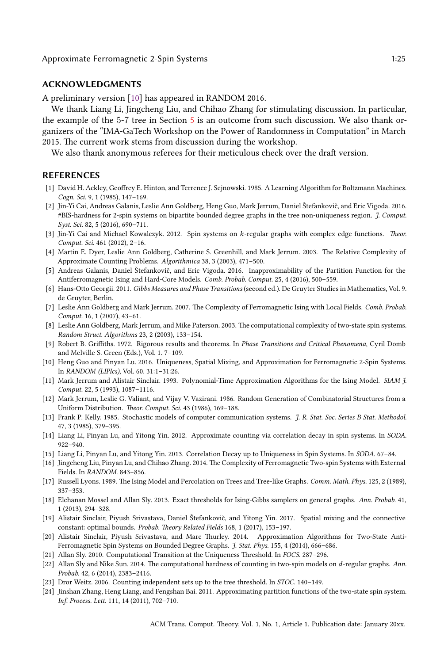#### Approxima[te](#page-15-0) Ferromagnetic 2-Spin Systems 1:25

#### **ACKNOWLEDGMENTS**

A preliminary version [10] has appeared in RANDOM 2016.

We thank Liang Li, Jingcheng Liu, and Chihao Zhang for stimulating discussion. In particular, the example of the 5-7 tree in Section 5 is an outcome from such discussion. We also thank organizers of the "IMA-GaTech Workshop on the Power of Randomness in Computation" in March 2015. The current work stems from discussion during the workshop.

<span id="page-25-10"></span>We also thank anonymous referees for their meticulous check over the draft version.

#### **REFERENCES**

- <span id="page-25-9"></span>[1] David H. Ackley, Geoffrey E. Hinton, and Terrence J. Sejnowski. 1985. A Learning Algorithm for Boltzmann Machines. *Cogn. Sci.* 9, 1 (1985), 147–169.
- <span id="page-25-14"></span><span id="page-25-4"></span>[2] Jin-Yi Cai, Andreas Galanis, Leslie Ann Goldberg, Heng Guo, Mark Jerrum, Daniel Štefankovič, and Eric Vigoda. 2016. #BIS-hardness for 2-spin systems on bipartite bounded degree graphs in the tree non-uniqueness region. *J. Comput. Syst. Sci.* 82, 5 (2016), 690–711.
- <span id="page-25-8"></span>[3] Jin-Yi Cai and Michael Kowalczyk. 2012. Spin systems on *k*-regular graphs with complex edge functions. *Theor. Comput. Sci.* 461 (2012), 2–16.
- <span id="page-25-12"></span>[4] Martin E. Dyer, Leslie Ann Goldberg, Catherine S. Greenhill, and Mark Jerrum. 2003. The Relative Complexity of Approximate Counting Problems. *Algorithmica* 38, 3 (2003), 471–500.
- [5] Andreas Galanis, Daniel Štefankovič, and Eric Vigoda. 2016. Inapproximability of the Partition Function for the Antiferromagnetic Ising and Hard-Core Models. *Comb. Probab. Comput.* 25, 4 (2016), 500–559.
- [6] Hans-Otto Georgii. 2011. *Gibbs Measures and Phase Transitions* (second ed.). De Gruyter Studies in Mathematics, Vol. 9. de Gruyter, Berlin.
- <span id="page-25-7"></span>[7] Leslie Ann Goldberg and Mark Jerrum. 2007. The Complexity of Ferromagnetic Ising with Local Fields. *Comb. Probab. Comput.* 16, 1 (2007), 43–61.
- [8] Leslie Ann Goldberg, Mark Jerrum, and Mike Paterson. 2003. The computational complexity of two-state spin systems. *Random Struct. Algorithms* 23, 2 (2003), 133–154.
- <span id="page-25-15"></span>[9] Robert B. Griffiths. 1972. Rigorous results and theorems. In *Phase Transitions and Critical Phenomena*, Cyril Domb and Melville S. Green (Eds.), Vol. 1. 7–109.
- <span id="page-25-0"></span>[10] Heng Guo and Pinyan Lu. 2016. Uniqueness, Spatial Mixing, and Approximation for Ferromagnetic 2-Spin Systems. In *RANDOM (LIPIcs)*, Vol. 60. 31:1–31:26.
- <span id="page-25-1"></span>[11] Mark Jerrum and Alistair Sinclair. 1993. Polynomial-Time Approximation Algorithms for the Ising Model. *SIAM J. Comput.* 22, 5 (1993), 1087–1116.
- <span id="page-25-11"></span>[12] Mark Jerrum, Leslie G. Valiant, and Vijay V. Vazirani. 1986. Random Generation of Combinatorial Structures from a Uniform Distribution. *Theor. Comput. Sci.* 43 (1986), 169–188.
- <span id="page-25-16"></span>[13] Frank P. Kelly. 1985. Stochastic models of computer communication systems. *J. R. Stat. Soc. Series B Stat. Methodol.* 47, 3 (1985), 379–395.
- [14] Liang Li, Pinyan Lu, and Yitong Yin. 2012. Approximate counting via correlation decay in spin systems. In *SODA*. 922–940.
- <span id="page-25-13"></span>[15] Liang Li, Pinyan Lu, and Yitong Yin. 2013. Correlation Decay up to Uniqueness in Spin Systems. In *SODA*. 67–84.
- <span id="page-25-2"></span>[16] Jingcheng Liu, Pinyan Lu, and Chihao Zhang. 2014. The Complexity of Ferromagnetic Two-spin Systems with External Fields. In *RANDOM*. 843–856.
- <span id="page-25-5"></span>[17] Russell Lyons. 1989. The Ising Model and Percolation on Trees and Tree-like Graphs. *Comm. Math. Phys.* 125, 2 (1989), 337–353.
- <span id="page-25-6"></span>[18] Elchanan Mossel and Allan Sly. 2013. Exact thresholds for Ising-Gibbs samplers on general graphs. *Ann. Probab.* 41, 1 (2013), 294–328.
- <span id="page-25-17"></span><span id="page-25-3"></span>[19] Alistair Sinclair, Piyush Srivastava, Daniel Štefankovič, and Yitong Yin. 2017. Spatial mixing and the connective constant: optimal bounds. *Probab. Theory Related Fields* 168, 1 (2017), 153–197.
- [20] Alistair Sinclair, Piyush Srivastava, and Marc Thurley. 2014. Approximation Algorithms for Two-State Anti-Ferromagnetic Spin Systems on Bounded Degree Graphs. *J. Stat. Phys.* 155, 4 (2014), 666–686.
- [21] Allan Sly. 2010. Computational Transition at the Uniqueness Threshold. In *FOCS*. 287–296.
- [22] Allan Sly and Nike Sun. 2014. The computational hardness of counting in two-spin models on *d*-regular graphs. *Ann. Probab.* 42, 6 (2014), 2383–2416.
- [23] Dror Weitz. 2006. Counting independent sets up to the tree threshold. In *STOC*. 140–149.
- [24] Jinshan Zhang, Heng Liang, and Fengshan Bai. 2011. Approximating partition functions of the two-state spin system. *Inf. Process. Lett.* 111, 14 (2011), 702–710.